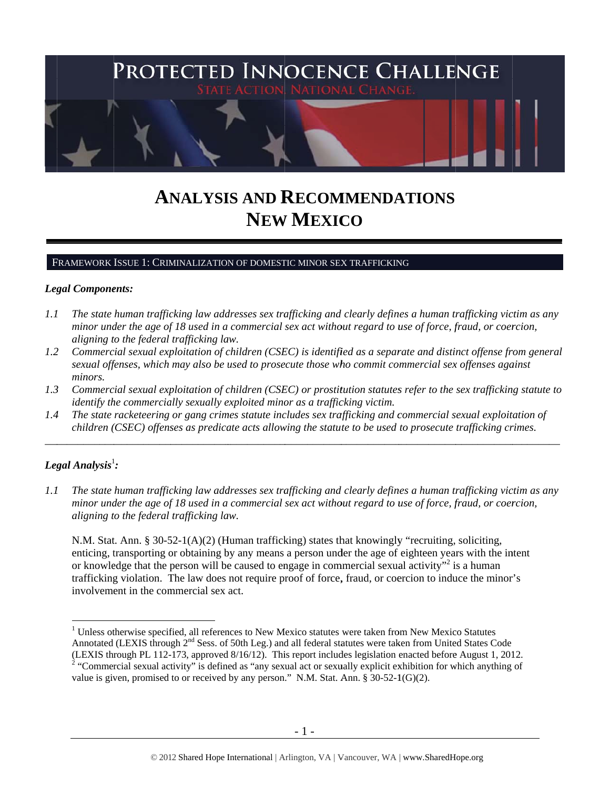

# **ANALYSIS AND RECOMMENDATIONS NEW W MEXIC CO**

#### FRAMEWORK ISSUE 1: CRIMINALIZATION OF DOMESTIC MINOR SEX TRAFFICKING

#### Legal Components:

- *1.1 l* The state human trafficking law addresses sex trafficking and clearly defines a human trafficking victim as any *minor under the age of 18 used in a commercial sex act without regard to use of force, fraud, or coercion, aligning t to the federal trafficking la aw.*
- *1.2* 2 Commercial sexual exploitation of children (CSEC) is identified as a separate and distinct offense from general *sexual offenses, which may also be used to prosecute those who commit commercial sex offenses against minors.*
- *1.3* 3 Commercial sexual exploitation of children (CSEC) or prostitution statutes refer to the sex trafficking statute to *identify the commercially sexually exploited minor as a trafficking victim.*

\_\_\_\_\_\_\_\_\_\_\_\_

\_\_\_\_\_\_\_\_\_\_\_

\_\_\_\_\_\_\_\_\_\_\_

\_\_\_\_\_\_\_\_\_\_\_\_

\_\_\_\_\_\_\_\_\_

*1.4* 4 The state racketeering or gang crimes statute includes sex trafficking and commercial sexual exploitation of *children* (*CSEC*) offenses as predicate acts allowing the statute to be used to prosecute trafficking crimes.

\_\_\_\_\_\_\_\_\_\_\_

# $\bm{\mathit{Legal\ Analysis^1}}$ :

 $\overline{a}$ 

 $\overline{a}$ 

 $\overline{a}$ 

\_\_\_\_\_\_\_\_\_\_\_

\_\_\_\_\_\_\_\_\_\_\_\_

\_\_\_\_\_\_\_\_\_\_\_

 $\overline{a}$ 

*1.1 1* The state human trafficking law addresses sex trafficking and clearly defines a human trafficking victim as any *minor under the age of 18 used in a commercial sex act without regard to use of force, fraud, or coercion, aligning t to the federal trafficking la aw.*

N.M. Stat. Ann. § 30-52-1(A)(2) (Human trafficking) states that knowingly "recruiting, soliciting, enticing, transporting or obtaining by any means a person under the age of eighteen years with the intent or knowledge that the person will be caused to engage in commercial sexual activity"<sup>2</sup> is a human trafficking violation. The law does not require proof of force, fraud, or coercion to induce the minor's involvement in the commercial sex act.

<sup>&</sup>lt;sup>1</sup> Unless otherwise specified, all references to New Mexico statutes were taken from New Mexico Statutes Annotated (LEXIS through 2<sup>nd</sup> Sess. of 50th Leg.) and all federal statutes were taken from United States Code (LEXIS thr  $2^2$  "Commer rough PL 112- -173, approved d 8/16/12). Thi is report includ des legislation enacted before e August 1, 201 12.

value is given, promised to or received by any person." N.M. Stat. Ann. § 30-52-1(G)(2). rcial sexual act tivity" is defin ed as "any sex ual act or sexu ually explicit ex xhibition for w which anything of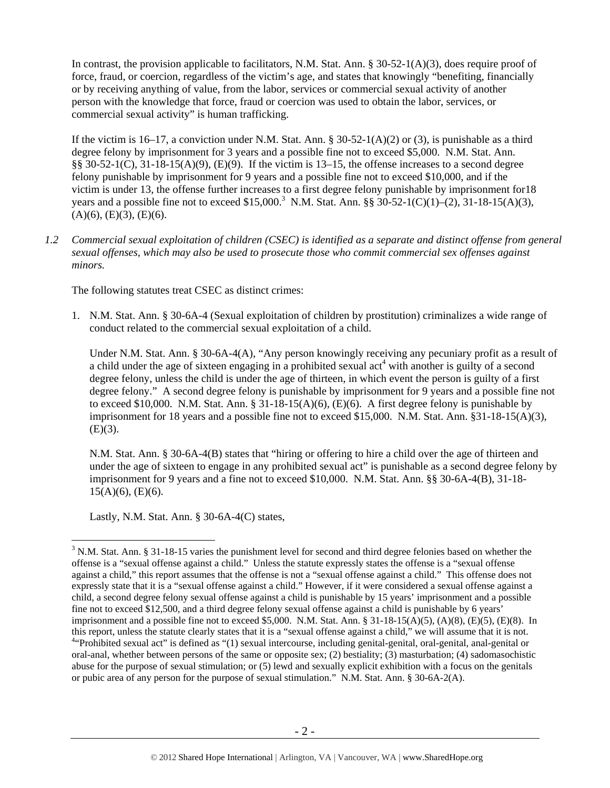In contrast, the provision applicable to facilitators, N.M. Stat. Ann. § 30-52-1(A)(3), does require proof of force, fraud, or coercion, regardless of the victim's age, and states that knowingly "benefiting, financially or by receiving anything of value, from the labor, services or commercial sexual activity of another person with the knowledge that force, fraud or coercion was used to obtain the labor, services, or commercial sexual activity" is human trafficking.

If the victim is 16–17, a conviction under N.M. Stat. Ann. § 30-52-1(A)(2) or (3), is punishable as a third degree felony by imprisonment for 3 years and a possible fine not to exceed \$5,000. N.M. Stat. Ann.  $\S$ § 30-52-1(C), 31-18-15(A)(9), (E)(9). If the victim is 13–15, the offense increases to a second degree felony punishable by imprisonment for 9 years and a possible fine not to exceed \$10,000, and if the victim is under 13, the offense further increases to a first degree felony punishable by imprisonment for18 years and a possible fine not to exceed \$15,000.<sup>3</sup> N.M. Stat. Ann. §§ 30-52-1(C)(1)–(2), 31-18-15(A)(3),  $(A)(6)$ ,  $(E)(3)$ ,  $(E)(6)$ .

*1.2 Commercial sexual exploitation of children (CSEC) is identified as a separate and distinct offense from general sexual offenses, which may also be used to prosecute those who commit commercial sex offenses against minors.*

The following statutes treat CSEC as distinct crimes:

1. N.M. Stat. Ann. § 30-6A-4 (Sexual exploitation of children by prostitution) criminalizes a wide range of conduct related to the commercial sexual exploitation of a child.

Under N.M. Stat. Ann. § 30-6A-4(A), "Any person knowingly receiving any pecuniary profit as a result of a child under the age of sixteen engaging in a prohibited sexual act<sup>4</sup> with another is guilty of a second degree felony, unless the child is under the age of thirteen, in which event the person is guilty of a first degree felony." A second degree felony is punishable by imprisonment for 9 years and a possible fine not to exceed \$10,000. N.M. Stat. Ann. § 31-18-15(A)(6), (E)(6). A first degree felony is punishable by imprisonment for 18 years and a possible fine not to exceed \$15,000. N.M. Stat. Ann. §31-18-15(A)(3),  $(E)(3)$ .

N.M. Stat. Ann. § 30-6A-4(B) states that "hiring or offering to hire a child over the age of thirteen and under the age of sixteen to engage in any prohibited sexual act" is punishable as a second degree felony by imprisonment for 9 years and a fine not to exceed \$10,000. N.M. Stat. Ann. §§ 30-6A-4(B), 31-18- 15(A)(6), (E)(6).

Lastly, N.M. Stat. Ann. § 30-6A-4(C) states,

 $3$  N.M. Stat. Ann. § 31-18-15 varies the punishment level for second and third degree felonies based on whether the offense is a "sexual offense against a child." Unless the statute expressly states the offense is a "sexual offense against a child," this report assumes that the offense is not a "sexual offense against a child." This offense does not expressly state that it is a "sexual offense against a child." However, if it were considered a sexual offense against a child, a second degree felony sexual offense against a child is punishable by 15 years' imprisonment and a possible fine not to exceed \$12,500, and a third degree felony sexual offense against a child is punishable by 6 years' imprisonment and a possible fine not to exceed \$5,000. N.M. Stat. Ann. § 31-18-15(A)(5), (A)(8), (E)(5), (E)(8). In this report, unless the statute clearly states that it is a "sexual offense against a child," we will assume that it is not. 4 <sup>4</sup>"Prohibited sexual act" is defined as "(1) sexual intercourse, including genital-genital, oral-genital, anal-genital or oral-anal, whether between persons of the same or opposite sex; (2) bestiality; (3) masturbation; (4) sadomasochistic abuse for the purpose of sexual stimulation; or (5) lewd and sexually explicit exhibition with a focus on the genitals or pubic area of any person for the purpose of sexual stimulation." N.M. Stat. Ann. § 30-6A-2(A).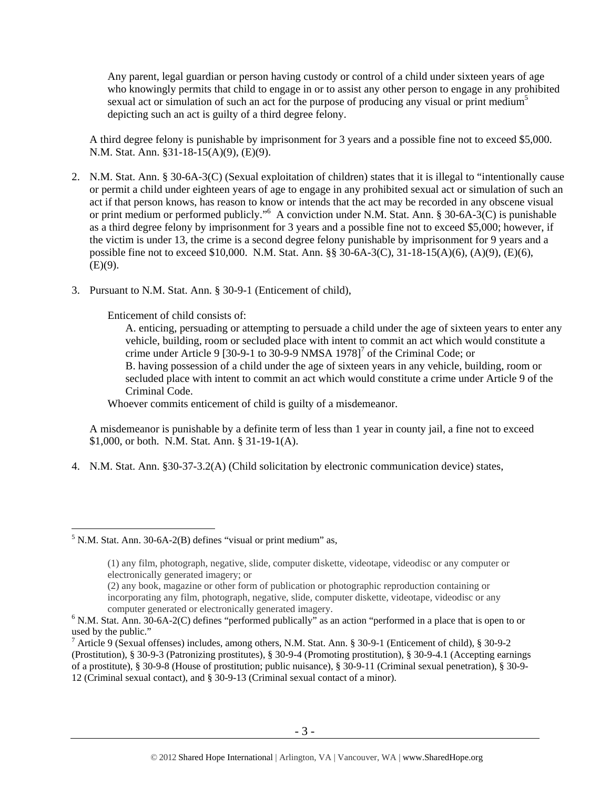Any parent, legal guardian or person having custody or control of a child under sixteen years of age who knowingly permits that child to engage in or to assist any other person to engage in any prohibited sexual act or simulation of such an act for the purpose of producing any visual or print medium<sup>5</sup> depicting such an act is guilty of a third degree felony.

A third degree felony is punishable by imprisonment for 3 years and a possible fine not to exceed \$5,000. N.M. Stat. Ann. §31-18-15(A)(9), (E)(9).

- 2. N.M. Stat. Ann. § 30-6A-3(C) (Sexual exploitation of children) states that it is illegal to "intentionally cause or permit a child under eighteen years of age to engage in any prohibited sexual act or simulation of such an act if that person knows, has reason to know or intends that the act may be recorded in any obscene visual or print medium or performed publicly."<sup>6</sup> A conviction under N.M. Stat. Ann. § 30-6A-3(C) is punishable as a third degree felony by imprisonment for 3 years and a possible fine not to exceed \$5,000; however, if the victim is under 13, the crime is a second degree felony punishable by imprisonment for 9 years and a possible fine not to exceed \$10,000. N.M. Stat. Ann. §§ 30-6A-3(C), 31-18-15(A)(6), (A)(9), (E)(6),  $(E)(9)$ .
- 3. Pursuant to N.M. Stat. Ann. § 30-9-1 (Enticement of child),

Enticement of child consists of:

A. enticing, persuading or attempting to persuade a child under the age of sixteen years to enter any vehicle, building, room or secluded place with intent to commit an act which would constitute a crime under Article 9 [30-9-1 to 30-9-9 NMSA  $1978$ ]<sup>7</sup> of the Criminal Code; or B. having possession of a child under the age of sixteen years in any vehicle, building, room or secluded place with intent to commit an act which would constitute a crime under Article 9 of the Criminal Code.

Whoever commits enticement of child is guilty of a misdemeanor.

A misdemeanor is punishable by a definite term of less than 1 year in county jail, a fine not to exceed \$1,000, or both. N.M. Stat. Ann. § 31-19-1(A).

4. N.M. Stat. Ann. §30-37-3.2(A) (Child solicitation by electronic communication device) states,

 $<sup>5</sup>$  N.M. Stat. Ann. 30-6A-2(B) defines "visual or print medium" as,</sup>

<sup>(1)</sup> any film, photograph, negative, slide, computer diskette, videotape, videodisc or any computer or electronically generated imagery; or

<sup>(2)</sup> any book, magazine or other form of publication or photographic reproduction containing or incorporating any film, photograph, negative, slide, computer diskette, videotape, videodisc or any computer generated or electronically generated imagery.

 $6$  N.M. Stat. Ann. 30-6A-2(C) defines "performed publically" as an action "performed in a place that is open to or used by the public."

<sup>7</sup> Article 9 (Sexual offenses) includes, among others, N.M. Stat. Ann. § 30-9-1 (Enticement of child), § 30-9-2 (Prostitution), § 30-9-3 (Patronizing prostitutes), § 30-9-4 (Promoting prostitution), § 30-9-4.1 (Accepting earnings of a prostitute), § 30-9-8 (House of prostitution; public nuisance), § 30-9-11 (Criminal sexual penetration), § 30-9- 12 (Criminal sexual contact), and § 30-9-13 (Criminal sexual contact of a minor).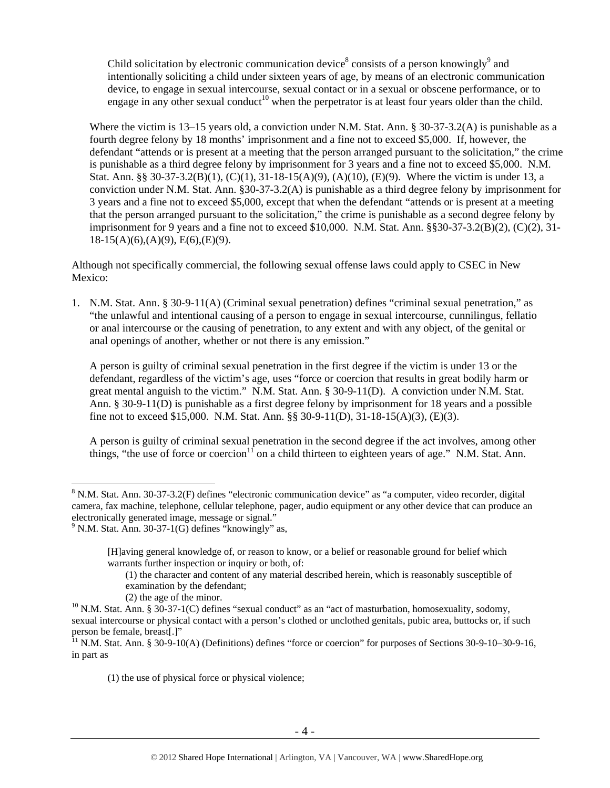Child solicitation by electronic communication device<sup>8</sup> consists of a person knowingly<sup>9</sup> and intentionally soliciting a child under sixteen years of age, by means of an electronic communication device, to engage in sexual intercourse, sexual contact or in a sexual or obscene performance, or to engage in any other sexual conduct<sup>10</sup> when the perpetrator is at least four years older than the child.

Where the victim is 13–15 years old, a conviction under N.M. Stat. Ann. § 30-37-3.2(A) is punishable as a fourth degree felony by 18 months' imprisonment and a fine not to exceed \$5,000. If, however, the defendant "attends or is present at a meeting that the person arranged pursuant to the solicitation," the crime is punishable as a third degree felony by imprisonment for 3 years and a fine not to exceed \$5,000. N.M. Stat. Ann. §§ 30-37-3.2(B)(1), (C)(1), 31-18-15(A)(9), (A)(10), (E)(9). Where the victim is under 13, a conviction under N.M. Stat. Ann. §30-37-3.2(A) is punishable as a third degree felony by imprisonment for 3 years and a fine not to exceed \$5,000, except that when the defendant "attends or is present at a meeting that the person arranged pursuant to the solicitation," the crime is punishable as a second degree felony by imprisonment for 9 years and a fine not to exceed  $$10,000$ . N.M. Stat. Ann.  $$8,30-37-3.2(B)(2)$ ,  $(C)(2)$ ,  $31 18-15(A)(6)$ , (A)(9), E(6), (E)(9).

Although not specifically commercial, the following sexual offense laws could apply to CSEC in New Mexico:

1. N.M. Stat. Ann. § 30-9-11(A) (Criminal sexual penetration) defines "criminal sexual penetration," as "the unlawful and intentional causing of a person to engage in sexual intercourse, cunnilingus, fellatio or anal intercourse or the causing of penetration, to any extent and with any object, of the genital or anal openings of another, whether or not there is any emission."

A person is guilty of criminal sexual penetration in the first degree if the victim is under 13 or the defendant, regardless of the victim's age, uses "force or coercion that results in great bodily harm or great mental anguish to the victim." N.M. Stat. Ann. § 30-9-11(D). A conviction under N.M. Stat. Ann. § 30-9-11(D) is punishable as a first degree felony by imprisonment for 18 years and a possible fine not to exceed \$15,000. N.M. Stat. Ann. §§ 30-9-11(D), 31-18-15(A)(3), (E)(3).

A person is guilty of criminal sexual penetration in the second degree if the act involves, among other things, "the use of force or coercion<sup>11</sup> on a child thirteen to eighteen years of age." N.M. Stat. Ann.

 $\overline{a}$ 

(1) the use of physical force or physical violence;

 $8$  N.M. Stat. Ann. 30-37-3.2(F) defines "electronic communication device" as "a computer, video recorder, digital camera, fax machine, telephone, cellular telephone, pager, audio equipment or any other device that can produce an electronically generated image, message or signal."

 $9$  N.M. Stat. Ann. 30-37-1(G) defines "knowingly" as,

<sup>[</sup>H]aving general knowledge of, or reason to know, or a belief or reasonable ground for belief which warrants further inspection or inquiry or both, of:

<sup>(1)</sup> the character and content of any material described herein, which is reasonably susceptible of examination by the defendant;

<sup>(2)</sup> the age of the minor.<br><sup>10</sup> N.M. Stat. Ann. § 30-37-1(C) defines "sexual conduct" as an "act of masturbation, homosexuality, sodomy, sexual intercourse or physical contact with a person's clothed or unclothed genitals, pubic area, buttocks or, if such person be female, breast[.]"

 $11$  N.M. Stat. Ann. § 30-9-10(A) (Definitions) defines "force or coercion" for purposes of Sections 30-9-10–30-9-16, in part as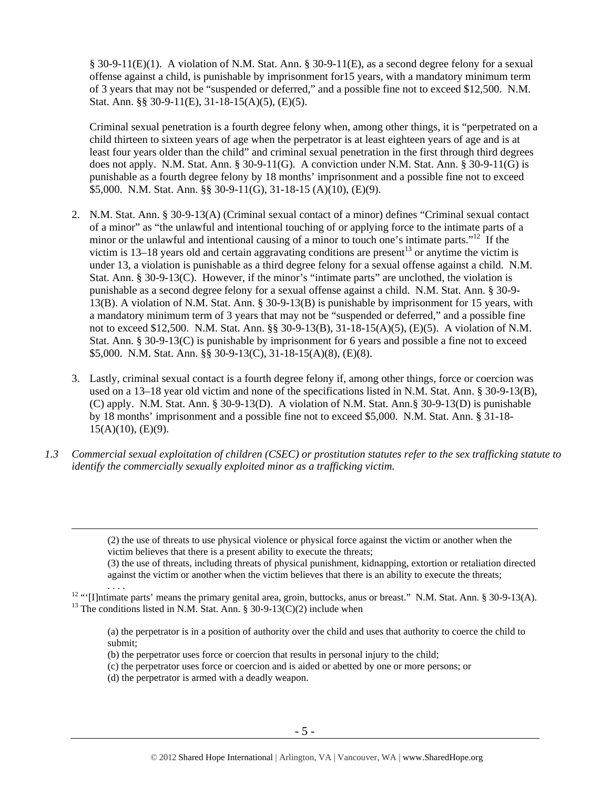§ 30-9-11(E)(1). A violation of N.M. Stat. Ann. § 30-9-11(E), as a second degree felony for a sexual offense against a child, is punishable by imprisonment for15 years, with a mandatory minimum term of 3 years that may not be "suspended or deferred," and a possible fine not to exceed \$12,500. N.M. Stat. Ann. §§ 30-9-11(E), 31-18-15(A)(5), (E)(5).

Criminal sexual penetration is a fourth degree felony when, among other things, it is "perpetrated on a child thirteen to sixteen years of age when the perpetrator is at least eighteen years of age and is at least four years older than the child" and criminal sexual penetration in the first through third degrees does not apply. N.M. Stat. Ann. § 30-9-11(G). A conviction under N.M. Stat. Ann. § 30-9-11(G) is punishable as a fourth degree felony by 18 months' imprisonment and a possible fine not to exceed \$5,000. N.M. Stat. Ann. §§ 30-9-11(G), 31-18-15 (A)(10), (E)(9).

- 2. N.M. Stat. Ann. § 30-9-13(A) (Criminal sexual contact of a minor) defines "Criminal sexual contact of a minor" as "the unlawful and intentional touching of or applying force to the intimate parts of a minor or the unlawful and intentional causing of a minor to touch one's intimate parts."<sup>12</sup> If the victim is 13–18 years old and certain aggravating conditions are present<sup>13</sup> or anytime the victim is under 13, a violation is punishable as a third degree felony for a sexual offense against a child. N.M. Stat. Ann. § 30-9-13(C). However, if the minor's "intimate parts" are unclothed, the violation is punishable as a second degree felony for a sexual offense against a child. N.M. Stat. Ann. § 30-9- 13(B). A violation of N.M. Stat. Ann. § 30-9-13(B) is punishable by imprisonment for 15 years, with a mandatory minimum term of 3 years that may not be "suspended or deferred," and a possible fine not to exceed \$12,500. N.M. Stat. Ann. §§ 30-9-13(B), 31-18-15(A)(5), (E)(5). A violation of N.M. Stat. Ann. § 30-9-13(C) is punishable by imprisonment for 6 years and possible a fine not to exceed \$5,000. N.M. Stat. Ann. §§ 30-9-13(C), 31-18-15(A)(8), (E)(8).
- 3. Lastly, criminal sexual contact is a fourth degree felony if, among other things, force or coercion was used on a 13–18 year old victim and none of the specifications listed in N.M. Stat. Ann. § 30-9-13(B), (C) apply. N.M. Stat. Ann. § 30-9-13(D). A violation of N.M. Stat. Ann.§ 30-9-13(D) is punishable by 18 months' imprisonment and a possible fine not to exceed \$5,000. N.M. Stat. Ann. § 31-18-  $15(A)(10)$ , (E)(9).
- *1.3 Commercial sexual exploitation of children (CSEC) or prostitution statutes refer to the sex trafficking statute to identify the commercially sexually exploited minor as a trafficking victim.*

 (2) the use of threats to use physical violence or physical force against the victim or another when the victim believes that there is a present ability to execute the threats;

(3) the use of threats, including threats of physical punishment, kidnapping, extortion or retaliation directed against the victim or another when the victim believes that there is an ability to execute the threats;

<sup>12</sup> "'[I]ntimate parts' means the primary genital area, groin, buttocks, anus or breast." N.M. Stat. Ann. § 30-9-13(A). <sup>13</sup> The conditions listed in N.M. Stat. Ann. § 30-9-13(C)(2) include when

(a) the perpetrator is in a position of authority over the child and uses that authority to coerce the child to submit;

- (b) the perpetrator uses force or coercion that results in personal injury to the child;
- (c) the perpetrator uses force or coercion and is aided or abetted by one or more persons; or
- (d) the perpetrator is armed with a deadly weapon.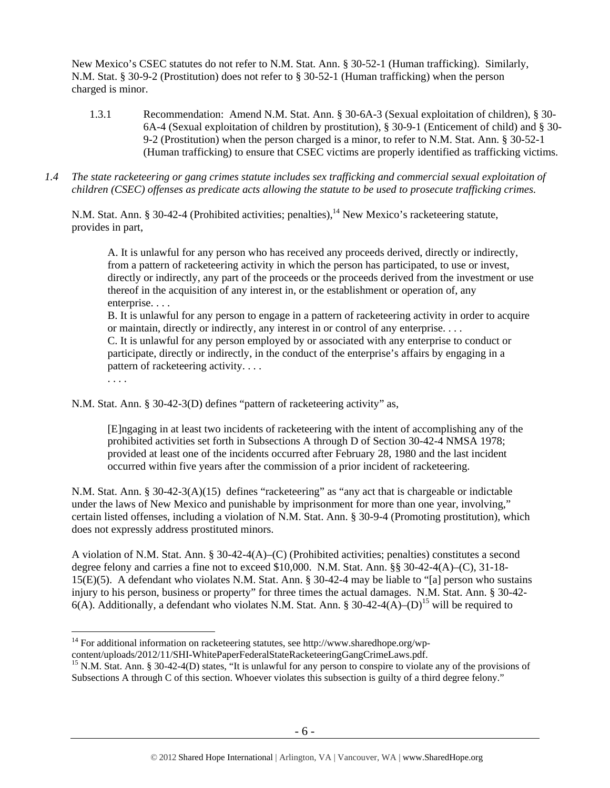New Mexico's CSEC statutes do not refer to N.M. Stat. Ann. § 30-52-1 (Human trafficking). Similarly, N.M. Stat. § 30-9-2 (Prostitution) does not refer to § 30-52-1 (Human trafficking) when the person charged is minor.

- 1.3.1 Recommendation: Amend N.M. Stat. Ann. § 30-6A-3 (Sexual exploitation of children), § 30- 6A-4 (Sexual exploitation of children by prostitution), § 30-9-1 (Enticement of child) and § 30- 9-2 (Prostitution) when the person charged is a minor, to refer to N.M. Stat. Ann. § 30-52-1 (Human trafficking) to ensure that CSEC victims are properly identified as trafficking victims.
- *1.4 The state racketeering or gang crimes statute includes sex trafficking and commercial sexual exploitation of children (CSEC) offenses as predicate acts allowing the statute to be used to prosecute trafficking crimes.*

N.M. Stat. Ann. § 30-42-4 (Prohibited activities; penalties),<sup>14</sup> New Mexico's racketeering statute, provides in part,

A. It is unlawful for any person who has received any proceeds derived, directly or indirectly, from a pattern of racketeering activity in which the person has participated, to use or invest, directly or indirectly, any part of the proceeds or the proceeds derived from the investment or use thereof in the acquisition of any interest in, or the establishment or operation of, any enterprise. . . .

B. It is unlawful for any person to engage in a pattern of racketeering activity in order to acquire or maintain, directly or indirectly, any interest in or control of any enterprise. . . .

C. It is unlawful for any person employed by or associated with any enterprise to conduct or participate, directly or indirectly, in the conduct of the enterprise's affairs by engaging in a pattern of racketeering activity. . . .

. . . .

N.M. Stat. Ann. § 30-42-3(D) defines "pattern of racketeering activity" as,

[E]ngaging in at least two incidents of racketeering with the intent of accomplishing any of the prohibited activities set forth in Subsections A through D of Section 30-42-4 NMSA 1978; provided at least one of the incidents occurred after February 28, 1980 and the last incident occurred within five years after the commission of a prior incident of racketeering.

N.M. Stat. Ann. § 30-42-3(A)(15) defines "racketeering" as "any act that is chargeable or indictable under the laws of New Mexico and punishable by imprisonment for more than one year, involving," certain listed offenses, including a violation of N.M. Stat. Ann. § 30-9-4 (Promoting prostitution), which does not expressly address prostituted minors.

A violation of N.M. Stat. Ann. § 30-42-4(A)–(C) (Prohibited activities; penalties) constitutes a second degree felony and carries a fine not to exceed \$10,000. N.M. Stat. Ann. §§ 30-42-4(A)–(C), 31-18- 15(E)(5). A defendant who violates N.M. Stat. Ann. § 30-42-4 may be liable to "[a] person who sustains injury to his person, business or property" for three times the actual damages. N.M. Stat. Ann. § 30-42- 6(A). Additionally, a defendant who violates N.M. Stat. Ann. § 30-42-4(A)–(D)<sup>15</sup> will be required to

 $\overline{a}$ <sup>14</sup> For additional information on racketeering statutes, see http://www.sharedhope.org/wp-

content/uploads/2012/11/SHI-WhitePaperFederalStateRacketeeringGangCrimeLaws.pdf.<br><sup>15</sup> N.M. Stat. Ann. § 30-42-4(D) states, "It is unlawful for any person to conspire to violate any of the provisions of Subsections A through C of this section. Whoever violates this subsection is guilty of a third degree felony."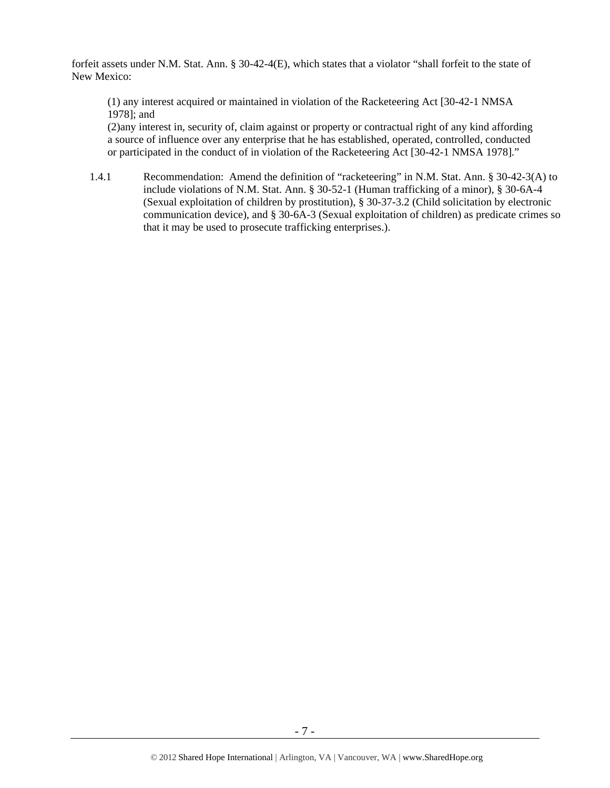forfeit assets under N.M. Stat. Ann. § 30-42-4(E), which states that a violator "shall forfeit to the state of New Mexico:

(1) any interest acquired or maintained in violation of the Racketeering Act [30-42-1 NMSA 1978]; and

(2)any interest in, security of, claim against or property or contractual right of any kind affording a source of influence over any enterprise that he has established, operated, controlled, conducted or participated in the conduct of in violation of the Racketeering Act [30-42-1 NMSA 1978]."

1.4.1 Recommendation: Amend the definition of "racketeering" in N.M. Stat. Ann. § 30-42-3(A) to include violations of N.M. Stat. Ann. § 30-52-1 (Human trafficking of a minor), § 30-6A-4 (Sexual exploitation of children by prostitution), § 30-37-3.2 (Child solicitation by electronic communication device), and § 30-6A-3 (Sexual exploitation of children) as predicate crimes so that it may be used to prosecute trafficking enterprises.).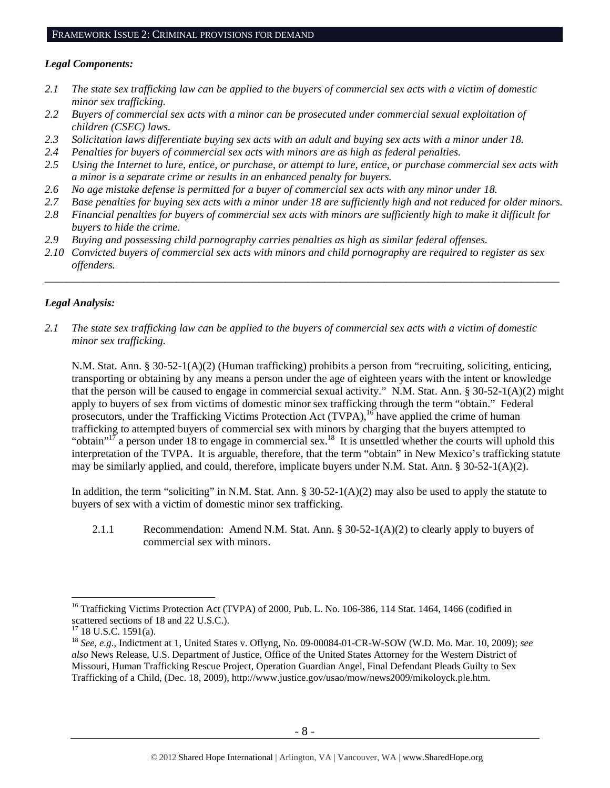#### *Legal Components:*

- *2.1 The state sex trafficking law can be applied to the buyers of commercial sex acts with a victim of domestic minor sex trafficking.*
- *2.2 Buyers of commercial sex acts with a minor can be prosecuted under commercial sexual exploitation of children (CSEC) laws.*
- *2.3 Solicitation laws differentiate buying sex acts with an adult and buying sex acts with a minor under 18.*
- *2.4 Penalties for buyers of commercial sex acts with minors are as high as federal penalties.*
- *2.5 Using the Internet to lure, entice, or purchase, or attempt to lure, entice, or purchase commercial sex acts with a minor is a separate crime or results in an enhanced penalty for buyers.*
- *2.6 No age mistake defense is permitted for a buyer of commercial sex acts with any minor under 18.*
- *2.7 Base penalties for buying sex acts with a minor under 18 are sufficiently high and not reduced for older minors.*
- *2.8 Financial penalties for buyers of commercial sex acts with minors are sufficiently high to make it difficult for buyers to hide the crime.*
- *2.9 Buying and possessing child pornography carries penalties as high as similar federal offenses.*
- *2.10 Convicted buyers of commercial sex acts with minors and child pornography are required to register as sex offenders.*

\_\_\_\_\_\_\_\_\_\_\_\_\_\_\_\_\_\_\_\_\_\_\_\_\_\_\_\_\_\_\_\_\_\_\_\_\_\_\_\_\_\_\_\_\_\_\_\_\_\_\_\_\_\_\_\_\_\_\_\_\_\_\_\_\_\_\_\_\_\_\_\_\_\_\_\_\_\_\_\_\_\_\_\_\_\_\_\_\_\_\_\_\_\_

## *Legal Analysis:*

*2.1 The state sex trafficking law can be applied to the buyers of commercial sex acts with a victim of domestic minor sex trafficking.*

N.M. Stat. Ann. § 30-52-1(A)(2) (Human trafficking) prohibits a person from "recruiting, soliciting, enticing, transporting or obtaining by any means a person under the age of eighteen years with the intent or knowledge that the person will be caused to engage in commercial sexual activity." N.M. Stat. Ann. § 30-52-1(A)(2) might apply to buyers of sex from victims of domestic minor sex trafficking through the term "obtain." Federal prosecutors, under the Trafficking Victims Protection Act (TVPA),  $^{16}$  have applied the crime of human trafficking to attempted buyers of commercial sex with minors by charging that the buyers attempted to "obtain"<sup>17</sup> a person under 18 to engage in commercial sex.<sup>18</sup> It is unsettled whether the courts will uphold this interpretation of the TVPA. It is arguable, therefore, that the term "obtain" in New Mexico's trafficking statute may be similarly applied, and could, therefore, implicate buyers under N.M. Stat. Ann.  $\S 30-52-1(A)(2)$ .

In addition, the term "soliciting" in N.M. Stat. Ann. § 30-52-1(A)(2) may also be used to apply the statute to buyers of sex with a victim of domestic minor sex trafficking.

 2.1.1 Recommendation: Amend N.M. Stat. Ann. § 30-52-1(A)(2) to clearly apply to buyers of commercial sex with minors.

<sup>&</sup>lt;sup>16</sup> Trafficking Victims Protection Act (TVPA) of 2000, Pub. L. No. 106-386, 114 Stat. 1464, 1466 (codified in scattered sections of 18 and 22 U.S.C.).

 $17$  18 U.S.C. 1591(a).

<sup>18</sup> *See, e.g*., Indictment at 1, United States v. Oflyng, No. 09-00084-01-CR-W-SOW (W.D. Mo. Mar. 10, 2009); *see also* News Release, U.S. Department of Justice, Office of the United States Attorney for the Western District of Missouri, Human Trafficking Rescue Project, Operation Guardian Angel, Final Defendant Pleads Guilty to Sex Trafficking of a Child, (Dec. 18, 2009), http://www.justice.gov/usao/mow/news2009/mikoloyck.ple.htm.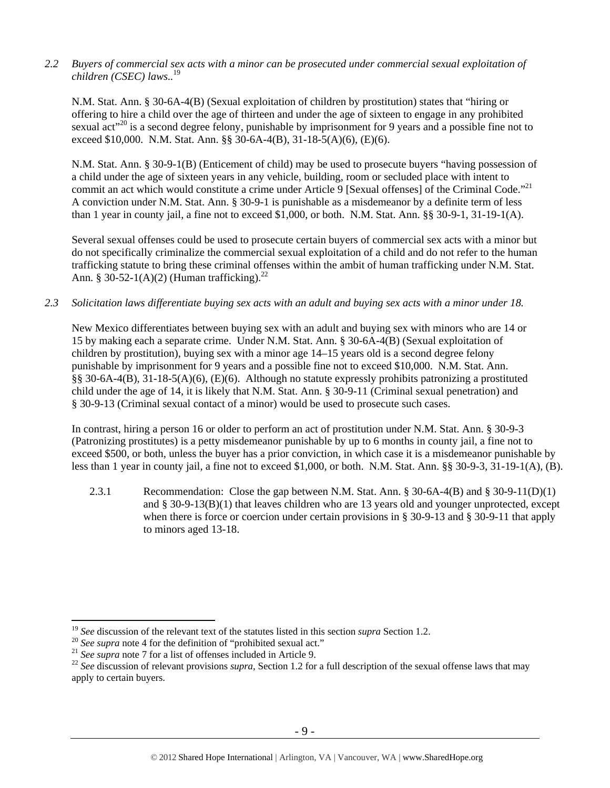*2.2 Buyers of commercial sex acts with a minor can be prosecuted under commercial sexual exploitation of children (CSEC) laws..*<sup>19</sup>

N.M. Stat. Ann. § 30-6A-4(B) (Sexual exploitation of children by prostitution) states that "hiring or offering to hire a child over the age of thirteen and under the age of sixteen to engage in any prohibited sexual act<sup>"20</sup> is a second degree felony, punishable by imprisonment for 9 years and a possible fine not to exceed \$10,000. N.M. Stat. Ann. §§ 30-6A-4(B), 31-18-5(A)(6), (E)(6).

N.M. Stat. Ann. § 30-9-1(B) (Enticement of child) may be used to prosecute buyers "having possession of a child under the age of sixteen years in any vehicle, building, room or secluded place with intent to commit an act which would constitute a crime under Article 9 [Sexual offenses] of the Criminal Code."<sup>21</sup> A conviction under N.M. Stat. Ann. § 30-9-1 is punishable as a misdemeanor by a definite term of less than 1 year in county jail, a fine not to exceed \$1,000, or both. N.M. Stat. Ann. §§ 30-9-1, 31-19-1(A).

Several sexual offenses could be used to prosecute certain buyers of commercial sex acts with a minor but do not specifically criminalize the commercial sexual exploitation of a child and do not refer to the human trafficking statute to bring these criminal offenses within the ambit of human trafficking under N.M. Stat. Ann. § 30-52-1(A)(2) (Human trafficking).<sup>22</sup>

*2.3 Solicitation laws differentiate buying sex acts with an adult and buying sex acts with a minor under 18.* 

New Mexico differentiates between buying sex with an adult and buying sex with minors who are 14 or 15 by making each a separate crime. Under N.M. Stat. Ann. § 30-6A-4(B) (Sexual exploitation of children by prostitution), buying sex with a minor age 14–15 years old is a second degree felony punishable by imprisonment for 9 years and a possible fine not to exceed \$10,000. N.M. Stat. Ann. §§ 30-6A-4(B), 31-18-5(A)(6), (E)(6). Although no statute expressly prohibits patronizing a prostituted child under the age of 14, it is likely that N.M. Stat. Ann. § 30-9-11 (Criminal sexual penetration) and § 30-9-13 (Criminal sexual contact of a minor) would be used to prosecute such cases.

In contrast, hiring a person 16 or older to perform an act of prostitution under N.M. Stat. Ann. § 30-9-3 (Patronizing prostitutes) is a petty misdemeanor punishable by up to 6 months in county jail, a fine not to exceed \$500, or both, unless the buyer has a prior conviction, in which case it is a misdemeanor punishable by less than 1 year in county jail, a fine not to exceed \$1,000, or both. N.M. Stat. Ann. §§ 30-9-3, 31-19-1(A), (B).

2.3.1 Recommendation: Close the gap between N.M. Stat. Ann. § 30-6A-4(B) and § 30-9-11(D)(1) and § 30-9-13(B)(1) that leaves children who are 13 years old and younger unprotected, except when there is force or coercion under certain provisions in § 30-9-13 and § 30-9-11 that apply to minors aged 13-18.

 $19$  See discussion of the relevant text of the statutes listed in this section *supra* Section 1.2.

<sup>&</sup>lt;sup>20</sup> See supra note 4 for the definition of "prohibited sexual act."<br><sup>21</sup> See supra note 7 for a list of offenses included in Article 9.<br><sup>22</sup> See discussion of relevant provisions *supra*, Section 1.2 for a full descripti apply to certain buyers.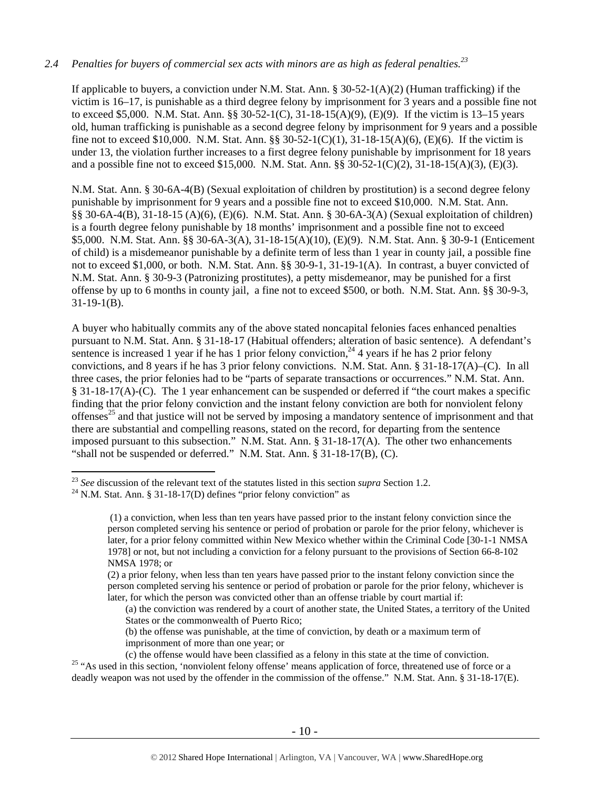#### *2.4 Penalties for buyers of commercial sex acts with minors are as high as federal penalties.<sup>23</sup>*

If applicable to buyers, a conviction under N.M. Stat. Ann. § 30-52-1( $A$ )(2) (Human trafficking) if the victim is 16–17, is punishable as a third degree felony by imprisonment for 3 years and a possible fine not to exceed \$5,000. N.M. Stat. Ann. §§ 30-52-1(C), 31-18-15(A)(9), (E)(9). If the victim is 13–15 years old, human trafficking is punishable as a second degree felony by imprisonment for 9 years and a possible fine not to exceed \$10,000. N.M. Stat. Ann. §§ 30-52-1(C)(1), 31-18-15(A)(6), (E)(6). If the victim is under 13, the violation further increases to a first degree felony punishable by imprisonment for 18 years and a possible fine not to exceed \$15,000. N.M. Stat. Ann. §§ 30-52-1(C)(2), 31-18-15(A)(3), (E)(3).

N.M. Stat. Ann. § 30-6A-4(B) (Sexual exploitation of children by prostitution) is a second degree felony punishable by imprisonment for 9 years and a possible fine not to exceed \$10,000. N.M. Stat. Ann. §§ 30-6A-4(B), 31-18-15 (A)(6), (E)(6). N.M. Stat. Ann. § 30-6A-3(A) (Sexual exploitation of children) is a fourth degree felony punishable by 18 months' imprisonment and a possible fine not to exceed \$5,000. N.M. Stat. Ann. §§ 30-6A-3(A), 31-18-15(A)(10), (E)(9). N.M. Stat. Ann. § 30-9-1 (Enticement of child) is a misdemeanor punishable by a definite term of less than 1 year in county jail, a possible fine not to exceed \$1,000, or both. N.M. Stat. Ann. §§ 30-9-1, 31-19-1(A). In contrast, a buyer convicted of N.M. Stat. Ann. § 30-9-3 (Patronizing prostitutes), a petty misdemeanor, may be punished for a first offense by up to 6 months in county jail, a fine not to exceed \$500, or both. N.M. Stat. Ann. §§ 30-9-3,  $31-19-1(B)$ .

A buyer who habitually commits any of the above stated noncapital felonies faces enhanced penalties pursuant to N.M. Stat. Ann. § 31-18-17 (Habitual offenders; alteration of basic sentence). A defendant's sentence is increased 1 year if he has 1 prior felony conviction,  $^{24}$  4 years if he has 2 prior felony convictions, and 8 years if he has 3 prior felony convictions. N.M. Stat. Ann. § 31-18-17(A)–(C). In all three cases, the prior felonies had to be "parts of separate transactions or occurrences." N.M. Stat. Ann. § 31-18-17(A)-(C). The 1 year enhancement can be suspended or deferred if "the court makes a specific finding that the prior felony conviction and the instant felony conviction are both for nonviolent felony offenses<sup>25</sup> and that justice will not be served by imposing a mandatory sentence of imprisonment and that there are substantial and compelling reasons, stated on the record, for departing from the sentence imposed pursuant to this subsection." N.M. Stat. Ann. § 31-18-17(A). The other two enhancements "shall not be suspended or deferred." N.M. Stat. Ann. § 31-18-17(B), (C).

<sup>&</sup>lt;sup>23</sup> *See* discussion of the relevant text of the statutes listed in this section *supra* Section 1.2. <sup>24</sup> N.M. Stat. Ann. § 31-18-17(D) defines "prior felony conviction" as

 <sup>(1)</sup> a conviction, when less than ten years have passed prior to the instant felony conviction since the person completed serving his sentence or period of probation or parole for the prior felony, whichever is later, for a prior felony committed within New Mexico whether within the Criminal Code [30-1-1 NMSA 1978] or not, but not including a conviction for a felony pursuant to the provisions of Section 66-8-102 NMSA 1978; or

<sup>(2)</sup> a prior felony, when less than ten years have passed prior to the instant felony conviction since the person completed serving his sentence or period of probation or parole for the prior felony, whichever is later, for which the person was convicted other than an offense triable by court martial if:

<sup>(</sup>a) the conviction was rendered by a court of another state, the United States, a territory of the United States or the commonwealth of Puerto Rico;

<sup>(</sup>b) the offense was punishable, at the time of conviction, by death or a maximum term of imprisonment of more than one year; or

<sup>(</sup>c) the offense would have been classified as a felony in this state at the time of conviction. 25 "As used in this section, 'nonviolent felony offense' means application of force, threatened use of force or a

deadly weapon was not used by the offender in the commission of the offense." N.M. Stat. Ann. § 31-18-17(E).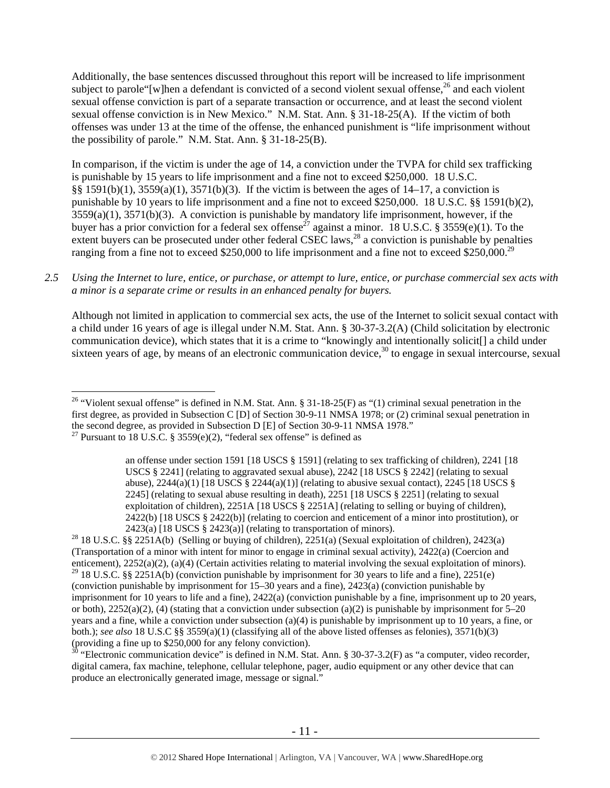Additionally, the base sentences discussed throughout this report will be increased to life imprisonment subject to parole "[w]hen a defendant is convicted of a second violent sexual offense,<sup>26</sup> and each violent sexual offense conviction is part of a separate transaction or occurrence, and at least the second violent sexual offense conviction is in New Mexico." N.M. Stat. Ann. § 31-18-25(A). If the victim of both offenses was under 13 at the time of the offense, the enhanced punishment is "life imprisonment without the possibility of parole." N.M. Stat. Ann. § 31-18-25(B).

In comparison, if the victim is under the age of 14, a conviction under the TVPA for child sex trafficking is punishable by 15 years to life imprisonment and a fine not to exceed \$250,000. 18 U.S.C. §§ 1591(b)(1),  $3559(a)(1)$ ,  $3571(b)(3)$ . If the victim is between the ages of 14–17, a conviction is punishable by 10 years to life imprisonment and a fine not to exceed \$250,000. 18 U.S.C. §§ 1591(b)(2), 3559(a)(1), 3571(b)(3). A conviction is punishable by mandatory life imprisonment, however, if the buyer has a prior conviction for a federal sex offense<sup>27</sup> against a minor. 18 U.S.C. § 3559(e)(1). To the extent buyers can be prosecuted under other federal CSEC laws,  $^{28}$  a conviction is punishable by penalties ranging from a fine not to exceed \$250,000 to life imprisonment and a fine not to exceed \$250,000.<sup>29</sup>

## *2.5 Using the Internet to lure, entice, or purchase, or attempt to lure, entice, or purchase commercial sex acts with a minor is a separate crime or results in an enhanced penalty for buyers.*

Although not limited in application to commercial sex acts, the use of the Internet to solicit sexual contact with a child under 16 years of age is illegal under N.M. Stat. Ann. § 30-37-3.2(A) (Child solicitation by electronic communication device), which states that it is a crime to "knowingly and intentionally solicit[] a child under sixteen years of age, by means of an electronic communication device, $30$  to engage in sexual intercourse, sexual

2423(a) [18 USCS § 2423(a)] (relating to transportation of minors).<br><sup>28</sup> 18 U.S.C. §§ 2251A(b) (Selling or buying of children), 2251(a) (Sexual exploitation of children), 2423(a) (Transportation of a minor with intent for minor to engage in criminal sexual activity), 2422(a) (Coercion and enticement), 2252(a)(2), (a)(4) (Certain activities relating to material involving the sexual exploitation of minors). <sup>29</sup> 18 U.S.C. §§ 2251A(b) (conviction punishable by imprisonment for 30 years to life and a fine), 2251(e) (conviction punishable by imprisonment for 15–30 years and a fine), 2423(a) (conviction punishable by imprisonment for 10 years to life and a fine), 2422(a) (conviction punishable by a fine, imprisonment up to 20 years, or both),  $2252(a)(2)$ , (4) (stating that a conviction under subsection (a)(2) is punishable by imprisonment for 5–20 years and a fine, while a conviction under subsection (a)(4) is punishable by imprisonment up to 10 years, a fine, or both.); *see also* 18 U.S.C §§ 3559(a)(1) (classifying all of the above listed offenses as felonies), 3571(b)(3) (providing a fine up to \$250,000 for any felony conviction).

 $30$  "Electronic communication device" is defined in N.M. Stat. Ann. § 30-37-3.2(F) as "a computer, video recorder, digital camera, fax machine, telephone, cellular telephone, pager, audio equipment or any other device that can produce an electronically generated image, message or signal."

 $\overline{a}$ <sup>26</sup> "Violent sexual offense" is defined in N.M. Stat. Ann. § 31-18-25(F) as "(1) criminal sexual penetration in the first degree, as provided in Subsection C [D] of Section 30-9-11 NMSA 1978; or (2) criminal sexual penetration in the second degree, as provided in Subsection D [E] of Section 30-9-11 NMSA 1978." <sup>27</sup> Pursuant to 18 U.S.C. § 3559 $(e)(2)$ , "federal sex offense" is defined as

an offense under section 1591 [18 USCS § 1591] (relating to sex trafficking of children), 2241 [18 USCS § 2241] (relating to aggravated sexual abuse), 2242 [18 USCS § 2242] (relating to sexual abuse),  $2244(a)(1)$  [18 USCS §  $2244(a)(1)$ ] (relating to abusive sexual contact),  $2245$  [18 USCS § 2245] (relating to sexual abuse resulting in death), 2251 [18 USCS § 2251] (relating to sexual exploitation of children), 2251A [18 USCS § 2251A] (relating to selling or buying of children), 2422(b) [18 USCS § 2422(b)] (relating to coercion and enticement of a minor into prostitution), or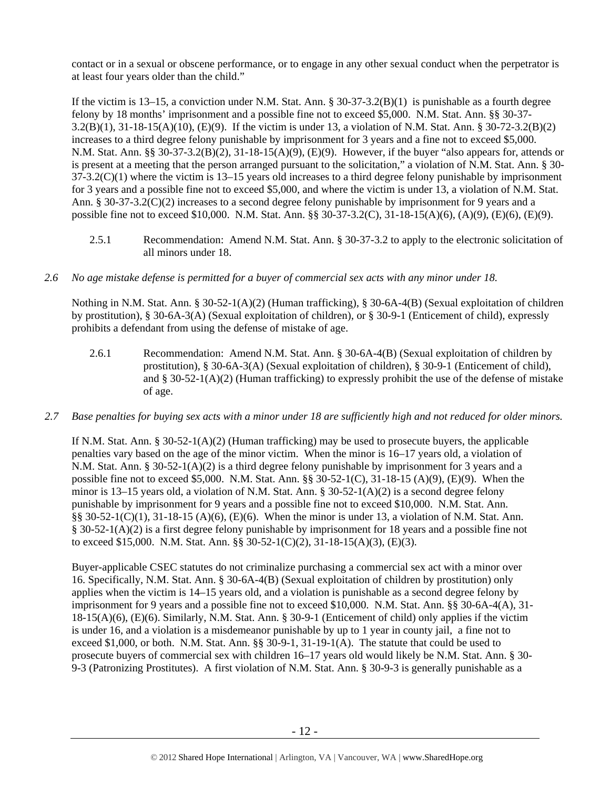contact or in a sexual or obscene performance, or to engage in any other sexual conduct when the perpetrator is at least four years older than the child."

If the victim is  $13-15$ , a conviction under N.M. Stat. Ann. §  $30-37-3.2(B)(1)$  is punishable as a fourth degree felony by 18 months' imprisonment and a possible fine not to exceed \$5,000. N.M. Stat. Ann. §§ 30-37- 3.2(B)(1), 31-18-15(A)(10), (E)(9). If the victim is under 13, a violation of N.M. Stat. Ann. § 30-72-3.2(B)(2) increases to a third degree felony punishable by imprisonment for 3 years and a fine not to exceed \$5,000. N.M. Stat. Ann. §§ 30-37-3.2(B)(2), 31-18-15(A)(9), (E)(9). However, if the buyer "also appears for, attends or is present at a meeting that the person arranged pursuant to the solicitation," a violation of N.M. Stat. Ann. § 30-  $37-3.2(C)(1)$  where the victim is  $13-15$  years old increases to a third degree felony punishable by imprisonment for 3 years and a possible fine not to exceed \$5,000, and where the victim is under 13, a violation of N.M. Stat. Ann. § 30-37-3.2(C)(2) increases to a second degree felony punishable by imprisonment for 9 years and a possible fine not to exceed \$10,000. N.M. Stat. Ann. §§ 30-37-3.2(C), 31-18-15(A)(6), (A)(9), (E)(6), (E)(9).

- 2.5.1 Recommendation: Amend N.M. Stat. Ann. § 30-37-3.2 to apply to the electronic solicitation of all minors under 18.
- *2.6 No age mistake defense is permitted for a buyer of commercial sex acts with any minor under 18.*

Nothing in N.M. Stat. Ann. § 30-52-1(A)(2) (Human trafficking), § 30-6A-4(B) (Sexual exploitation of children by prostitution), § 30-6A-3(A) (Sexual exploitation of children), or § 30-9-1 (Enticement of child), expressly prohibits a defendant from using the defense of mistake of age.

- 2.6.1 Recommendation: Amend N.M. Stat. Ann. § 30-6A-4(B) (Sexual exploitation of children by prostitution), § 30-6A-3(A) (Sexual exploitation of children), § 30-9-1 (Enticement of child), and § 30-52-1(A)(2) (Human trafficking) to expressly prohibit the use of the defense of mistake of age.
- *2.7 Base penalties for buying sex acts with a minor under 18 are sufficiently high and not reduced for older minors.*

If N.M. Stat. Ann. §  $30-52-1(A)(2)$  (Human trafficking) may be used to prosecute buyers, the applicable penalties vary based on the age of the minor victim. When the minor is 16–17 years old, a violation of N.M. Stat. Ann. § 30-52-1(A)(2) is a third degree felony punishable by imprisonment for 3 years and a possible fine not to exceed \$5,000. N.M. Stat. Ann. §§ 30-52-1(C), 31-18-15 (A)(9), (E)(9). When the minor is  $13-15$  years old, a violation of N.M. Stat. Ann. §  $30-52-1(A)(2)$  is a second degree felony punishable by imprisonment for 9 years and a possible fine not to exceed \$10,000. N.M. Stat. Ann. §§ 30-52-1(C)(1), 31-18-15 (A)(6), (E)(6). When the minor is under 13, a violation of N.M. Stat. Ann. § 30-52-1(A)(2) is a first degree felony punishable by imprisonment for 18 years and a possible fine not to exceed \$15,000. N.M. Stat. Ann. §§ 30-52-1(C)(2), 31-18-15(A)(3), (E)(3).

Buyer-applicable CSEC statutes do not criminalize purchasing a commercial sex act with a minor over 16. Specifically, N.M. Stat. Ann. § 30-6A-4(B) (Sexual exploitation of children by prostitution) only applies when the victim is 14–15 years old, and a violation is punishable as a second degree felony by imprisonment for 9 years and a possible fine not to exceed \$10,000. N.M. Stat. Ann. §§ 30-6A-4(A), 31- 18-15(A)(6), (E)(6). Similarly, N.M. Stat. Ann. § 30-9-1 (Enticement of child) only applies if the victim is under 16, and a violation is a misdemeanor punishable by up to 1 year in county jail, a fine not to exceed \$1,000, or both. N.M. Stat. Ann. §§ 30-9-1, 31-19-1(A). The statute that could be used to prosecute buyers of commercial sex with children 16–17 years old would likely be N.M. Stat. Ann. § 30- 9-3 (Patronizing Prostitutes). A first violation of N.M. Stat. Ann. § 30-9-3 is generally punishable as a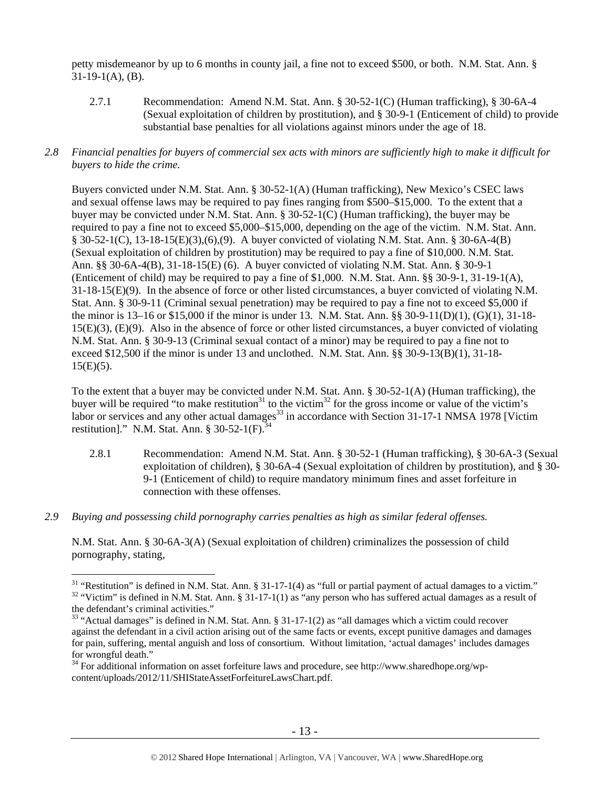petty misdemeanor by up to 6 months in county jail, a fine not to exceed \$500, or both. N.M. Stat. Ann. §  $31-19-1(A)$ , (B).

2.7.1 Recommendation: Amend N.M. Stat. Ann. § 30-52-1(C) (Human trafficking), § 30-6A-4 (Sexual exploitation of children by prostitution), and § 30-9-1 (Enticement of child) to provide substantial base penalties for all violations against minors under the age of 18.

## *2.8 Financial penalties for buyers of commercial sex acts with minors are sufficiently high to make it difficult for buyers to hide the crime.*

Buyers convicted under N.M. Stat. Ann. § 30-52-1(A) (Human trafficking), New Mexico's CSEC laws and sexual offense laws may be required to pay fines ranging from \$500–\$15,000. To the extent that a buyer may be convicted under N.M. Stat. Ann. § 30-52-1(C) (Human trafficking), the buyer may be required to pay a fine not to exceed \$5,000–\$15,000, depending on the age of the victim. N.M. Stat. Ann. § 30-52-1(C), 13-18-15(E)(3),(6),(9). A buyer convicted of violating N.M. Stat. Ann. § 30-6A-4(B) (Sexual exploitation of children by prostitution) may be required to pay a fine of \$10,000. N.M. Stat. Ann. §§ 30-6A-4(B), 31-18-15(E) (6). A buyer convicted of violating N.M. Stat. Ann. § 30-9-1 (Enticement of child) may be required to pay a fine of \$1,000. N.M. Stat. Ann. §§ 30-9-1, 31-19-1(A), 31-18-15(E)(9). In the absence of force or other listed circumstances, a buyer convicted of violating N.M. Stat. Ann. § 30-9-11 (Criminal sexual penetration) may be required to pay a fine not to exceed \$5,000 if the minor is 13–16 or \$15,000 if the minor is under 13. N.M. Stat. Ann. §§ 30-9-11(D)(1), (G)(1), 31-18- 15(E)(3), (E)(9). Also in the absence of force or other listed circumstances, a buyer convicted of violating N.M. Stat. Ann. § 30-9-13 (Criminal sexual contact of a minor) may be required to pay a fine not to exceed \$12,500 if the minor is under 13 and unclothed. N.M. Stat. Ann. §§ 30-9-13(B)(1), 31-18-  $15(E)(5)$ .

To the extent that a buyer may be convicted under N.M. Stat. Ann. § 30-52-1(A) (Human trafficking), the buyer will be required "to make restitution<sup>31</sup> to the victim<sup>32</sup> for the gross income or value of the victim's labor or services and any other actual damages<sup>33</sup> in accordance with Section 31-17-1 NMSA 1978 [Victim] restitution]." N.M. Stat. Ann.  $8 \overline{30} - 52 - 1$  (F). $\overline{3}$ 

- 2.8.1 Recommendation: Amend N.M. Stat. Ann. § 30-52-1 (Human trafficking), § 30-6A-3 (Sexual exploitation of children), § 30-6A-4 (Sexual exploitation of children by prostitution), and § 30- 9-1 (Enticement of child) to require mandatory minimum fines and asset forfeiture in connection with these offenses.
- *2.9 Buying and possessing child pornography carries penalties as high as similar federal offenses.*

 $\overline{a}$ 

N.M. Stat. Ann. § 30-6A-3(A) (Sexual exploitation of children) criminalizes the possession of child pornography, stating,

<sup>&</sup>lt;sup>31</sup> "Restitution" is defined in N.M. Stat. Ann. § 31-17-1(4) as "full or partial payment of actual damages to a victim."<br><sup>32</sup> "Victim" is defined in N.M. Stat. Ann. § 31-17-1(1) as "any person who has suffered actual dam the defendant's criminal activities."

<sup>&</sup>lt;sup>33</sup> "Actual damages" is defined in N.M. Stat. Ann. § 31-17-1(2) as "all damages which a victim could recover against the defendant in a civil action arising out of the same facts or events, except punitive damages and damages for pain, suffering, mental anguish and loss of consortium. Without limitation, 'actual damages' includes damages for wrongful death."

 $34$  For additional information on asset forfeiture laws and procedure, see http://www.sharedhope.org/wpcontent/uploads/2012/11/SHIStateAssetForfeitureLawsChart.pdf.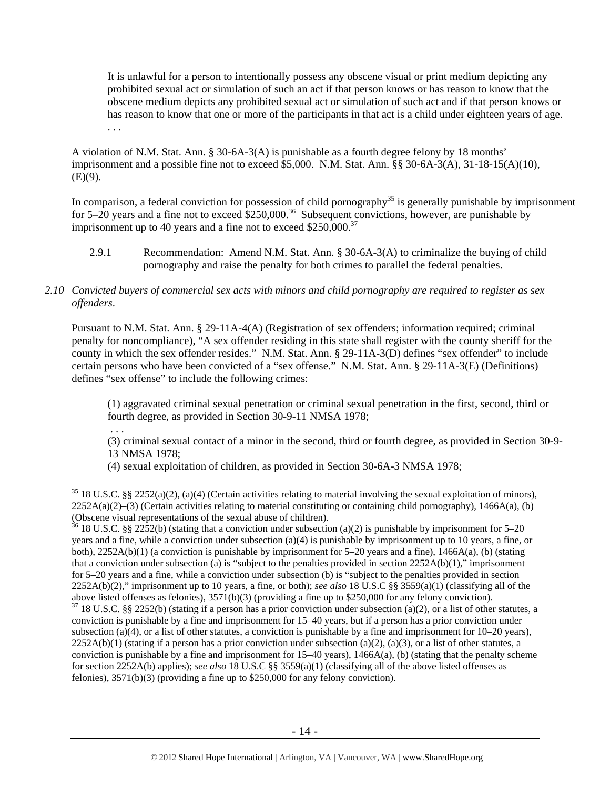It is unlawful for a person to intentionally possess any obscene visual or print medium depicting any prohibited sexual act or simulation of such an act if that person knows or has reason to know that the obscene medium depicts any prohibited sexual act or simulation of such act and if that person knows or has reason to know that one or more of the participants in that act is a child under eighteen years of age. . . .

A violation of N.M. Stat. Ann. § 30-6A-3(A) is punishable as a fourth degree felony by 18 months' imprisonment and a possible fine not to exceed \$5,000. N.M. Stat. Ann. §§ 30-6A-3(A), 31-18-15(A)(10),  $(E)(9)$ .

In comparison, a federal conviction for possession of child pornography<sup>35</sup> is generally punishable by imprisonment for 5–20 years and a fine not to exceed  $$250,000.<sup>36</sup>$  Subsequent convictions, however, are punishable by imprisonment up to 40 years and a fine not to exceed  $$250,000.<sup>37</sup>$ 

2.9.1 Recommendation: Amend N.M. Stat. Ann. § 30-6A-3(A) to criminalize the buying of child pornography and raise the penalty for both crimes to parallel the federal penalties.

# *2.10 Convicted buyers of commercial sex acts with minors and child pornography are required to register as sex offenders*.

Pursuant to N.M. Stat. Ann. § 29-11A-4(A) (Registration of sex offenders; information required; criminal penalty for noncompliance), "A sex offender residing in this state shall register with the county sheriff for the county in which the sex offender resides." N.M. Stat. Ann. § 29-11A-3(D) defines "sex offender" to include certain persons who have been convicted of a "sex offense." N.M. Stat. Ann. § 29-11A-3(E) (Definitions) defines "sex offense" to include the following crimes:

(1) aggravated criminal sexual penetration or criminal sexual penetration in the first, second, third or fourth degree, as provided in Section 30-9-11 NMSA 1978;

 . . . (3) criminal sexual contact of a minor in the second, third or fourth degree, as provided in Section 30-9- 13 NMSA 1978;

(4) sexual exploitation of children, as provided in Section 30-6A-3 NMSA 1978;

 $35$  18 U.S.C. §§ 2252(a)(2), (a)(4) (Certain activities relating to material involving the sexual exploitation of minors),  $2252A(a)(2)$ –(3) (Certain activities relating to material constituting or containing child pornography), 1466A(a), (b) (Obscene visual representations of the sexual abuse of children).

 $36$  18 U.S.C. §§ 2252(b) (stating that a conviction under subsection (a)(2) is punishable by imprisonment for 5–20 years and a fine, while a conviction under subsection (a)(4) is punishable by imprisonment up to 10 years, a fine, or both), 2252A(b)(1) (a conviction is punishable by imprisonment for 5–20 years and a fine), 1466A(a), (b) (stating that a conviction under subsection (a) is "subject to the penalties provided in section  $2252A(b)(1)$ ," imprisonment for 5–20 years and a fine, while a conviction under subsection (b) is "subject to the penalties provided in section 2252A(b)(2)," imprisonment up to 10 years, a fine, or both); *see also* 18 U.S.C §§ 3559(a)(1) (classifying all of the above listed offenses as felonies), 3571(b)(3) (providing a fine up to \$250,000 for any felony conviction).

 $37$  18 U.S.C. §§ 2252(b) (stating if a person has a prior conviction under subsection (a)(2), or a list of other statutes, a conviction is punishable by a fine and imprisonment for 15–40 years, but if a person has a prior conviction under subsection (a)(4), or a list of other statutes, a conviction is punishable by a fine and imprisonment for  $10-20$  years),  $2252A(b)(1)$  (stating if a person has a prior conviction under subsection (a)(2), (a)(3), or a list of other statutes, a conviction is punishable by a fine and imprisonment for  $15-40$  years),  $1466A(a)$ , (b) (stating that the penalty scheme for section 2252A(b) applies); *see also* 18 U.S.C §§ 3559(a)(1) (classifying all of the above listed offenses as felonies), 3571(b)(3) (providing a fine up to \$250,000 for any felony conviction).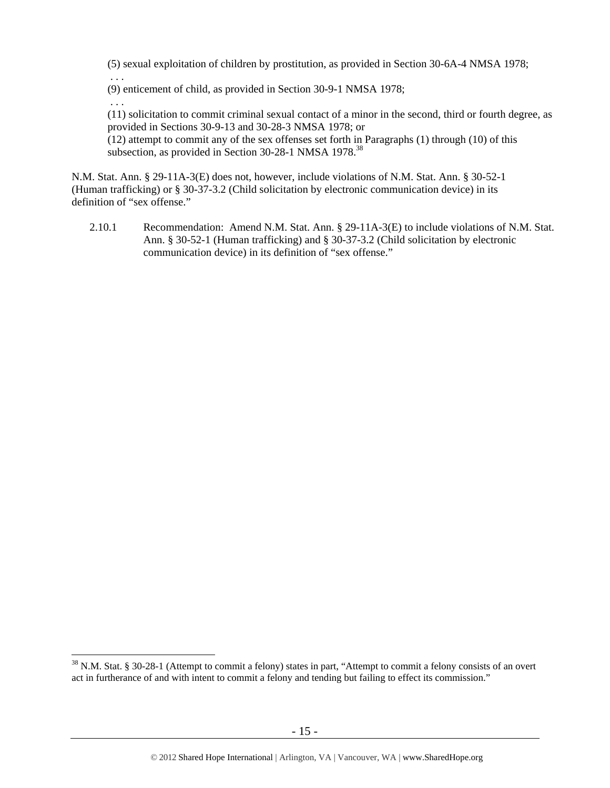(5) sexual exploitation of children by prostitution, as provided in Section 30-6A-4 NMSA 1978;

(9) enticement of child, as provided in Section 30-9-1 NMSA 1978;

. . .

 $\overline{a}$ 

 . . . (11) solicitation to commit criminal sexual contact of a minor in the second, third or fourth degree, as provided in Sections 30-9-13 and 30-28-3 NMSA 1978; or

(12) attempt to commit any of the sex offenses set forth in Paragraphs (1) through (10) of this subsection, as provided in Section 30-28-1 NMSA 1978.<sup>38</sup>

N.M. Stat. Ann. § 29-11A-3(E) does not, however, include violations of N.M. Stat. Ann. § 30-52-1 (Human trafficking) or § 30-37-3.2 (Child solicitation by electronic communication device) in its definition of "sex offense."

2.10.1 Recommendation: Amend N.M. Stat. Ann. § 29-11A-3(E) to include violations of N.M. Stat. Ann. § 30-52-1 (Human trafficking) and § 30-37-3.2 (Child solicitation by electronic communication device) in its definition of "sex offense."

<sup>&</sup>lt;sup>38</sup> N.M. Stat. § 30-28-1 (Attempt to commit a felony) states in part, "Attempt to commit a felony consists of an overt act in furtherance of and with intent to commit a felony and tending but failing to effect its commission."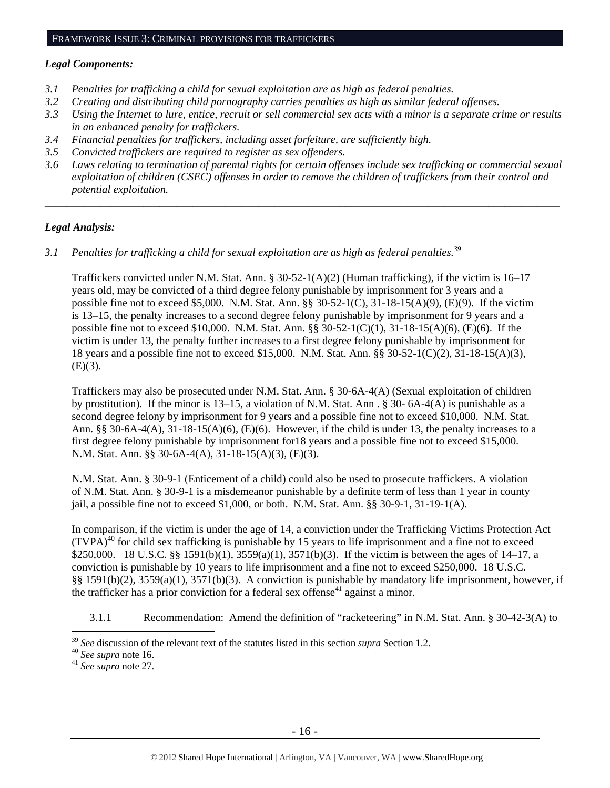## FRAMEWORK ISSUE 3: CRIMINAL PROVISIONS FOR TRAFFICKERS

#### *Legal Components:*

- *3.1 Penalties for trafficking a child for sexual exploitation are as high as federal penalties.*
- *3.2 Creating and distributing child pornography carries penalties as high as similar federal offenses.*
- *3.3 Using the Internet to lure, entice, recruit or sell commercial sex acts with a minor is a separate crime or results in an enhanced penalty for traffickers.*
- *3.4 Financial penalties for traffickers, including asset forfeiture, are sufficiently high.*
- *3.5 Convicted traffickers are required to register as sex offenders.*
- *3.6 Laws relating to termination of parental rights for certain offenses include sex trafficking or commercial sexual exploitation of children (CSEC) offenses in order to remove the children of traffickers from their control and potential exploitation.*

*\_\_\_\_\_\_\_\_\_\_\_\_\_\_\_\_\_\_\_\_\_\_\_\_\_\_\_\_\_\_\_\_\_\_\_\_\_\_\_\_\_\_\_\_\_\_\_\_\_\_\_\_\_\_\_\_\_\_\_\_\_\_\_\_\_\_\_\_\_\_\_\_\_\_\_\_\_\_\_\_\_\_\_\_\_\_\_\_\_\_\_\_\_\_* 

## *Legal Analysis:*

*3.1 Penalties for trafficking a child for sexual exploitation are as high as federal penalties.39* 

Traffickers convicted under N.M. Stat. Ann. § 30-52-1(A)(2) (Human trafficking), if the victim is 16–17 years old, may be convicted of a third degree felony punishable by imprisonment for 3 years and a possible fine not to exceed \$5,000. N.M. Stat. Ann.  $\S$ § 30-52-1(C), 31-18-15(A)(9), (E)(9). If the victim is 13–15, the penalty increases to a second degree felony punishable by imprisonment for 9 years and a possible fine not to exceed \$10,000. N.M. Stat. Ann. §§ 30-52-1(C)(1), 31-18-15(A)(6), (E)(6). If the victim is under 13, the penalty further increases to a first degree felony punishable by imprisonment for 18 years and a possible fine not to exceed \$15,000. N.M. Stat. Ann. §§ 30-52-1(C)(2), 31-18-15(A)(3),  $(E)(3)$ .

Traffickers may also be prosecuted under N.M. Stat. Ann. § 30-6A-4(A) (Sexual exploitation of children by prostitution). If the minor is 13–15, a violation of N.M. Stat. Ann . § 30- 6A-4(A) is punishable as a second degree felony by imprisonment for 9 years and a possible fine not to exceed \$10,000. N.M. Stat. Ann. §§ 30-6A-4(A),  $31-18-15(A)(6)$ , (E)(6). However, if the child is under 13, the penalty increases to a first degree felony punishable by imprisonment for18 years and a possible fine not to exceed \$15,000. N.M. Stat. Ann. §§ 30-6A-4(A), 31-18-15(A)(3), (E)(3).

N.M. Stat. Ann. § 30-9-1 (Enticement of a child) could also be used to prosecute traffickers. A violation of N.M. Stat. Ann. § 30-9-1 is a misdemeanor punishable by a definite term of less than 1 year in county jail, a possible fine not to exceed  $$1,000$ , or both. N.M. Stat. Ann.  $\S$ § 30-9-1, 31-19-1(A).

In comparison, if the victim is under the age of 14, a conviction under the Trafficking Victims Protection Act  $(TVPA)^{40}$  for child sex trafficking is punishable by 15 years to life imprisonment and a fine not to exceed \$250,000. 18 U.S.C. §§ 1591(b)(1), 3559(a)(1), 3571(b)(3). If the victim is between the ages of 14–17, a conviction is punishable by 10 years to life imprisonment and a fine not to exceed \$250,000. 18 U.S.C. §§ 1591(b)(2), 3559(a)(1), 3571(b)(3). A conviction is punishable by mandatory life imprisonment, however, if the trafficker has a prior conviction for a federal sex offense<sup>41</sup> against a minor.

3.1.1 Recommendation: Amend the definition of "racketeering" in N.M. Stat. Ann. § 30-42-3(A) to

<sup>&</sup>lt;sup>39</sup> *See* discussion of the relevant text of the statutes listed in this section *supra* Section 1.2. <sup>40</sup> *See supra* note 16. <sup>41</sup> *See supra* note 27.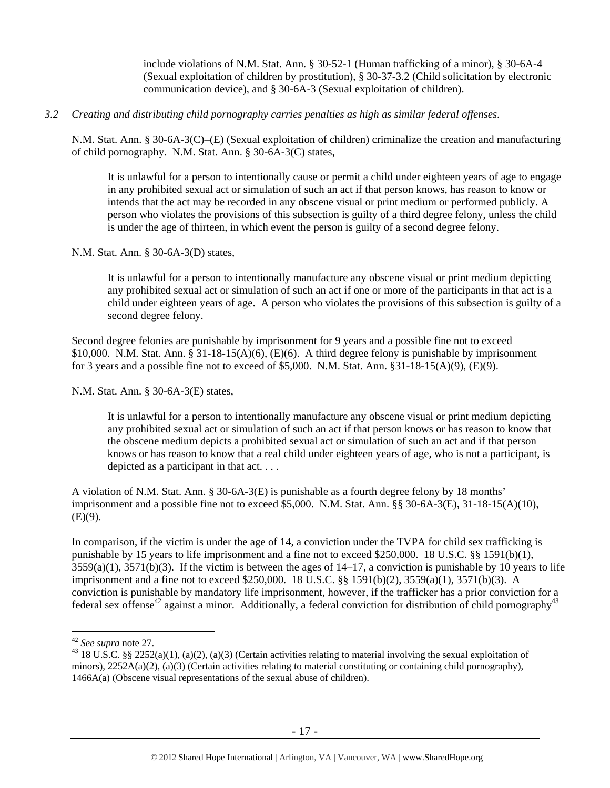include violations of N.M. Stat. Ann. § 30-52-1 (Human trafficking of a minor), § 30-6A-4 (Sexual exploitation of children by prostitution), § 30-37-3.2 (Child solicitation by electronic communication device), and § 30-6A-3 (Sexual exploitation of children).

## *3.2 Creating and distributing child pornography carries penalties as high as similar federal offenses*.

N.M. Stat. Ann. § 30-6A-3(C)–(E) (Sexual exploitation of children) criminalize the creation and manufacturing of child pornography. N.M. Stat. Ann. § 30-6A-3(C) states,

It is unlawful for a person to intentionally cause or permit a child under eighteen years of age to engage in any prohibited sexual act or simulation of such an act if that person knows, has reason to know or intends that the act may be recorded in any obscene visual or print medium or performed publicly. A person who violates the provisions of this subsection is guilty of a third degree felony, unless the child is under the age of thirteen, in which event the person is guilty of a second degree felony.

N.M. Stat. Ann. § 30-6A-3(D) states,

It is unlawful for a person to intentionally manufacture any obscene visual or print medium depicting any prohibited sexual act or simulation of such an act if one or more of the participants in that act is a child under eighteen years of age. A person who violates the provisions of this subsection is guilty of a second degree felony.

Second degree felonies are punishable by imprisonment for 9 years and a possible fine not to exceed \$10,000. N.M. Stat. Ann. § 31-18-15(A)(6), (E)(6). A third degree felony is punishable by imprisonment for 3 years and a possible fine not to exceed of \$5,000. N.M. Stat. Ann.  $\S 31-18-15(A)(9)$ , (E)(9).

N.M. Stat. Ann. § 30-6A-3(E) states,

It is unlawful for a person to intentionally manufacture any obscene visual or print medium depicting any prohibited sexual act or simulation of such an act if that person knows or has reason to know that the obscene medium depicts a prohibited sexual act or simulation of such an act and if that person knows or has reason to know that a real child under eighteen years of age, who is not a participant, is depicted as a participant in that act. . . .

A violation of N.M. Stat. Ann. § 30-6A-3(E) is punishable as a fourth degree felony by 18 months' imprisonment and a possible fine not to exceed \$5,000. N.M. Stat. Ann. §§ 30-6A-3(E), 31-18-15(A)(10),  $(E)(9)$ .

In comparison, if the victim is under the age of 14, a conviction under the TVPA for child sex trafficking is punishable by 15 years to life imprisonment and a fine not to exceed \$250,000. 18 U.S.C. §§ 1591(b)(1),  $3559(a)(1)$ ,  $3571(b)(3)$ . If the victim is between the ages of  $14-17$ , a conviction is punishable by 10 years to life imprisonment and a fine not to exceed \$250,000. 18 U.S.C. §§ 1591(b)(2), 3559(a)(1), 3571(b)(3). A conviction is punishable by mandatory life imprisonment, however, if the trafficker has a prior conviction for a federal sex offense<sup>42</sup> against a minor. Additionally, a federal conviction for distribution of child pornography<sup>43</sup>

<sup>&</sup>lt;sup>42</sup> See supra note 27.

<sup>&</sup>lt;sup>43</sup> 18 U.S.C. §§ 2252(a)(1), (a)(2), (a)(3) (Certain activities relating to material involving the sexual exploitation of minors),  $2252A(a)(2)$ ,  $(a)(3)$  (Certain activities relating to material constituting or containing child pornography), 1466A(a) (Obscene visual representations of the sexual abuse of children).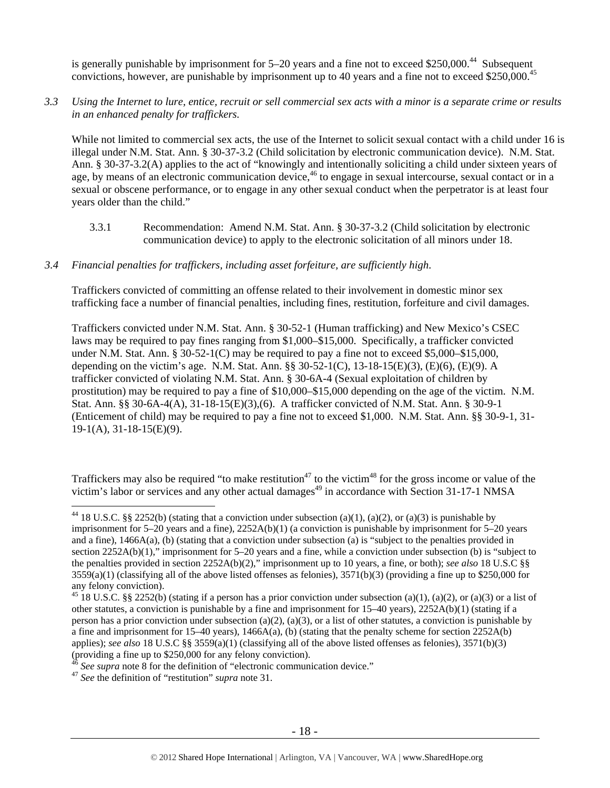is generally punishable by imprisonment for  $5-20$  years and a fine not to exceed \$250,000.<sup>44</sup> Subsequent convictions, however, are punishable by imprisonment up to 40 years and a fine not to exceed \$250,000.45

# *3.3 Using the Internet to lure, entice, recruit or sell commercial sex acts with a minor is a separate crime or results in an enhanced penalty for traffickers.*

While not limited to commercial sex acts, the use of the Internet to solicit sexual contact with a child under 16 is illegal under N.M. Stat. Ann. § 30-37-3.2 (Child solicitation by electronic communication device). N.M. Stat. Ann. § 30-37-3.2(A) applies to the act of "knowingly and intentionally soliciting a child under sixteen years of age, by means of an electronic communication device,<sup>46</sup> to engage in sexual intercourse, sexual contact or in a sexual or obscene performance, or to engage in any other sexual conduct when the perpetrator is at least four years older than the child."

3.3.1 Recommendation: Amend N.M. Stat. Ann. § 30-37-3.2 (Child solicitation by electronic communication device) to apply to the electronic solicitation of all minors under 18.

# *3.4 Financial penalties for traffickers, including asset forfeiture, are sufficiently high*.

Traffickers convicted of committing an offense related to their involvement in domestic minor sex trafficking face a number of financial penalties, including fines, restitution, forfeiture and civil damages.

Traffickers convicted under N.M. Stat. Ann. § 30-52-1 (Human trafficking) and New Mexico's CSEC laws may be required to pay fines ranging from \$1,000–\$15,000. Specifically, a trafficker convicted under N.M. Stat. Ann. § 30-52-1(C) may be required to pay a fine not to exceed \$5,000–\$15,000, depending on the victim's age. N.M. Stat. Ann. §§ 30-52-1(C), 13-18-15(E)(3), (E)(6), (E)(9). A trafficker convicted of violating N.M. Stat. Ann. § 30-6A-4 (Sexual exploitation of children by prostitution) may be required to pay a fine of \$10,000–\$15,000 depending on the age of the victim. N.M. Stat. Ann. §§ 30-6A-4(A), 31-18-15(E)(3),(6). A trafficker convicted of N.M. Stat. Ann. § 30-9-1 (Enticement of child) may be required to pay a fine not to exceed \$1,000. N.M. Stat. Ann. §§ 30-9-1, 31- 19-1(A), 31-18-15(E)(9).

Traffickers may also be required "to make restitution<sup>47</sup> to the victim<sup>48</sup> for the gross income or value of the victim's labor or services and any other actual damages<sup>49</sup> in accordance with Section 31-17-1 NMSA

<sup>&</sup>lt;sup>44</sup> 18 U.S.C. §§ 2252(b) (stating that a conviction under subsection (a)(1), (a)(2), or (a)(3) is punishable by imprisonment for 5–20 years and a fine), 2252A(b)(1) (a conviction is punishable by imprisonment for 5–20 years and a fine), 1466A(a), (b) (stating that a conviction under subsection (a) is "subject to the penalties provided in section 2252A(b)(1)," imprisonment for 5–20 years and a fine, while a conviction under subsection (b) is "subject to the penalties provided in section 2252A(b)(2)," imprisonment up to 10 years, a fine, or both); *see also* 18 U.S.C §§  $3559(a)(1)$  (classifying all of the above listed offenses as felonies),  $3571(b)(3)$  (providing a fine up to \$250,000 for any felony conviction).

<sup>&</sup>lt;sup>45</sup> 18 U.S.C. §§ 2252(b) (stating if a person has a prior conviction under subsection (a)(1), (a)(2), or (a)(3) or a list of other statutes, a conviction is punishable by a fine and imprisonment for  $15-40$  years),  $2252A(b)(1)$  (stating if a person has a prior conviction under subsection (a)(2), (a)(3), or a list of other statutes, a conviction is punishable by a fine and imprisonment for 15–40 years), 1466A(a), (b) (stating that the penalty scheme for section 2252A(b) applies); *see also* 18 U.S.C §§ 3559(a)(1) (classifying all of the above listed offenses as felonies), 3571(b)(3) (providing a fine up to \$250,000 for any felony conviction).

<sup>46</sup> *See supra* note 8 for the definition of "electronic communication device." 47 *See* the definition of "restitution" *supra* note 31.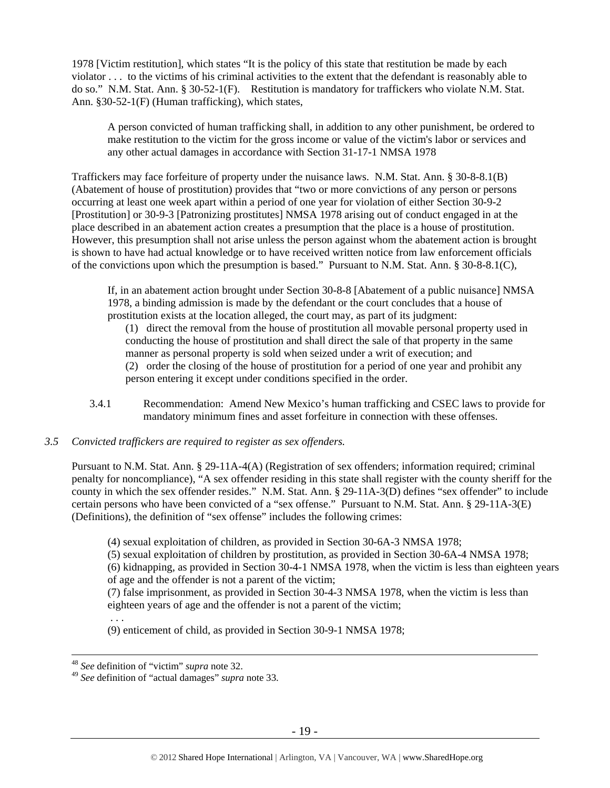1978 [Victim restitution], which states "It is the policy of this state that restitution be made by each violator . . . to the victims of his criminal activities to the extent that the defendant is reasonably able to do so." N.M. Stat. Ann. § 30-52-1(F). Restitution is mandatory for traffickers who violate N.M. Stat. Ann. §30-52-1(F) (Human trafficking), which states,

A person convicted of human trafficking shall, in addition to any other punishment, be ordered to make restitution to the victim for the gross income or value of the victim's labor or services and any other actual damages in accordance with Section 31-17-1 NMSA 1978

Traffickers may face forfeiture of property under the nuisance laws. N.M. Stat. Ann. § 30-8-8.1(B) (Abatement of house of prostitution) provides that "two or more convictions of any person or persons occurring at least one week apart within a period of one year for violation of either Section 30-9-2 [Prostitution] or 30-9-3 [Patronizing prostitutes] NMSA 1978 arising out of conduct engaged in at the place described in an abatement action creates a presumption that the place is a house of prostitution. However, this presumption shall not arise unless the person against whom the abatement action is brought is shown to have had actual knowledge or to have received written notice from law enforcement officials of the convictions upon which the presumption is based." Pursuant to N.M. Stat. Ann. § 30-8-8.1(C),

If, in an abatement action brought under Section 30-8-8 [Abatement of a public nuisance] NMSA 1978, a binding admission is made by the defendant or the court concludes that a house of prostitution exists at the location alleged, the court may, as part of its judgment:

(1) direct the removal from the house of prostitution all movable personal property used in conducting the house of prostitution and shall direct the sale of that property in the same manner as personal property is sold when seized under a writ of execution; and (2) order the closing of the house of prostitution for a period of one year and prohibit any person entering it except under conditions specified in the order.

3.4.1 Recommendation: Amend New Mexico's human trafficking and CSEC laws to provide for mandatory minimum fines and asset forfeiture in connection with these offenses.

## *3.5 Convicted traffickers are required to register as sex offenders.*

Pursuant to N.M. Stat. Ann. § 29-11A-4(A) (Registration of sex offenders; information required; criminal penalty for noncompliance), "A sex offender residing in this state shall register with the county sheriff for the county in which the sex offender resides." N.M. Stat. Ann. § 29-11A-3(D) defines "sex offender" to include certain persons who have been convicted of a "sex offense." Pursuant to N.M. Stat. Ann. § 29-11A-3(E) (Definitions), the definition of "sex offense" includes the following crimes:

(4) sexual exploitation of children, as provided in Section 30-6A-3 NMSA 1978;

(5) sexual exploitation of children by prostitution, as provided in Section 30-6A-4 NMSA 1978;

(6) kidnapping, as provided in Section 30-4-1 NMSA 1978, when the victim is less than eighteen years of age and the offender is not a parent of the victim;

(7) false imprisonment, as provided in Section 30-4-3 NMSA 1978, when the victim is less than eighteen years of age and the offender is not a parent of the victim;

 . . . (9) enticement of child, as provided in Section 30-9-1 NMSA 1978;

 <sup>48</sup> *See* definition of "victim" *supra* note 32.

<sup>49</sup> *See* definition of "actual damages" *supra* note 33.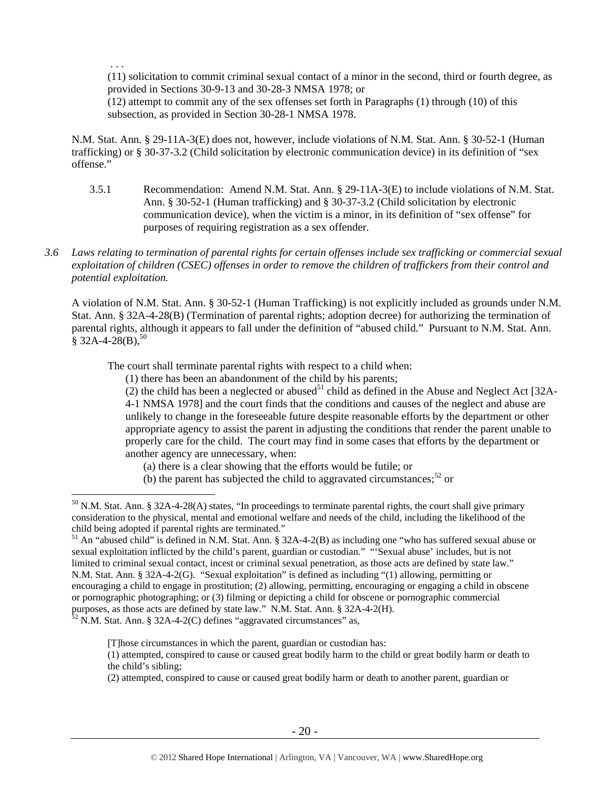. . .

(11) solicitation to commit criminal sexual contact of a minor in the second, third or fourth degree, as provided in Sections 30-9-13 and 30-28-3 NMSA 1978; or

(12) attempt to commit any of the sex offenses set forth in Paragraphs (1) through (10) of this subsection, as provided in Section 30-28-1 NMSA 1978.

N.M. Stat. Ann. § 29-11A-3(E) does not, however, include violations of N.M. Stat. Ann. § 30-52-1 (Human trafficking) or § 30-37-3.2 (Child solicitation by electronic communication device) in its definition of "sex offense."

- 3.5.1 Recommendation: Amend N.M. Stat. Ann. § 29-11A-3(E) to include violations of N.M. Stat. Ann. § 30-52-1 (Human trafficking) and § 30-37-3.2 (Child solicitation by electronic communication device), when the victim is a minor, in its definition of "sex offense" for purposes of requiring registration as a sex offender.
- *3.6 Laws relating to termination of parental rights for certain offenses include sex trafficking or commercial sexual exploitation of children (CSEC) offenses in order to remove the children of traffickers from their control and potential exploitation.*

A violation of N.M. Stat. Ann. § 30-52-1 (Human Trafficking) is not explicitly included as grounds under N.M. Stat. Ann. § 32A-4-28(B) (Termination of parental rights; adoption decree) for authorizing the termination of parental rights, although it appears to fall under the definition of "abused child." Pursuant to N.M. Stat. Ann.  $\bar{\S}$  32A-4-28(B),  $^{50}$ 

The court shall terminate parental rights with respect to a child when:

(1) there has been an abandonment of the child by his parents;

(2) the child has been a neglected or abused<sup>51</sup> child as defined in the Abuse and Neglect Act [32A-4-1 NMSA 1978] and the court finds that the conditions and causes of the neglect and abuse are unlikely to change in the foreseeable future despite reasonable efforts by the department or other appropriate agency to assist the parent in adjusting the conditions that render the parent unable to properly care for the child. The court may find in some cases that efforts by the department or another agency are unnecessary, when:

- (a) there is a clear showing that the efforts would be futile; or
- (b) the parent has subjected the child to aggravated circumstances;  $52$  or

 $52$  N.M. Stat. Ann. § 32A-4-2(C) defines "aggravated circumstances" as,

[T]hose circumstances in which the parent, guardian or custodian has:

 $\overline{a}$  $50$  N.M. Stat. Ann. § 32A-4-28(A) states, "In proceedings to terminate parental rights, the court shall give primary consideration to the physical, mental and emotional welfare and needs of the child, including the likelihood of the child being adopted if parental rights are terminated."

 $51$  An "abused child" is defined in N.M. Stat. Ann. § 32A-4-2(B) as including one "who has suffered sexual abuse or sexual exploitation inflicted by the child's parent, guardian or custodian." "'Sexual abuse' includes, but is not limited to criminal sexual contact, incest or criminal sexual penetration, as those acts are defined by state law." N.M. Stat. Ann. § 32A-4-2(G). "Sexual exploitation" is defined as including "(1) allowing, permitting or encouraging a child to engage in prostitution; (2) allowing, permitting, encouraging or engaging a child in obscene or pornographic photographing; or (3) filming or depicting a child for obscene or pornographic commercial purposes, as those acts are defined by state law." N.M. Stat. Ann. § 32A-4-2(H).

<sup>(1)</sup> attempted, conspired to cause or caused great bodily harm to the child or great bodily harm or death to the child's sibling;

<sup>(2)</sup> attempted, conspired to cause or caused great bodily harm or death to another parent, guardian or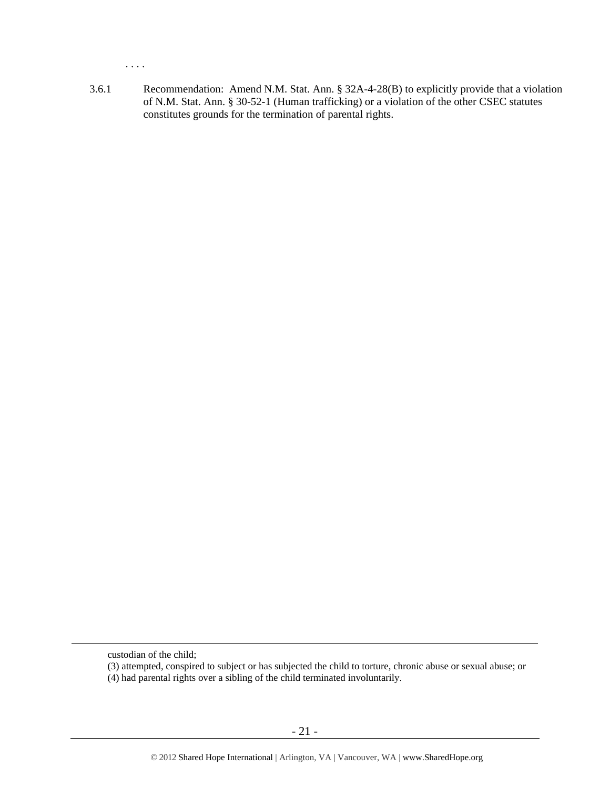. . . .

3.6.1 Recommendation: Amend N.M. Stat. Ann. § 32A-4-28(B) to explicitly provide that a violation of N.M. Stat. Ann. § 30-52-1 (Human trafficking) or a violation of the other CSEC statutes constitutes grounds for the termination of parental rights.

custodian of the child;

<sup>(3)</sup> attempted, conspired to subject or has subjected the child to torture, chronic abuse or sexual abuse; or

<sup>(4)</sup> had parental rights over a sibling of the child terminated involuntarily.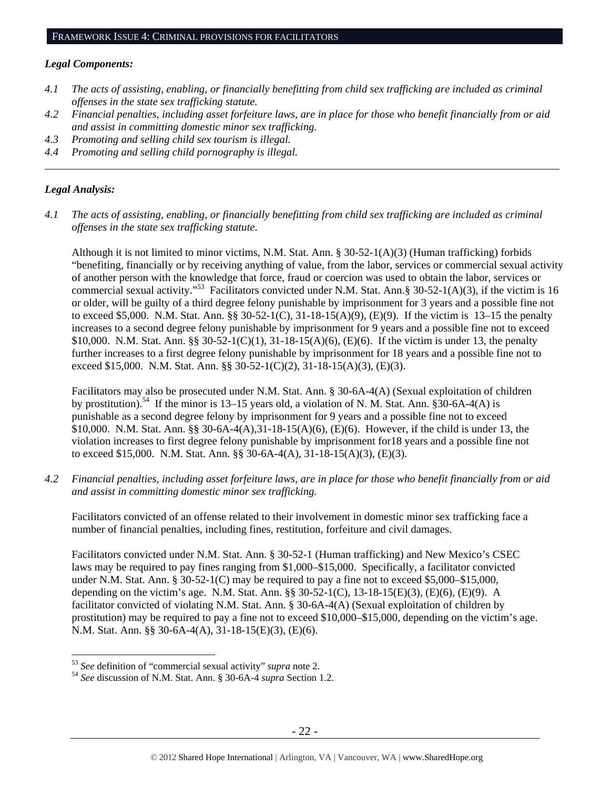## *Legal Components:*

- *4.1 The acts of assisting, enabling, or financially benefitting from child sex trafficking are included as criminal offenses in the state sex trafficking statute.*
- *4.2 Financial penalties, including asset forfeiture laws, are in place for those who benefit financially from or aid and assist in committing domestic minor sex trafficking.*

*\_\_\_\_\_\_\_\_\_\_\_\_\_\_\_\_\_\_\_\_\_\_\_\_\_\_\_\_\_\_\_\_\_\_\_\_\_\_\_\_\_\_\_\_\_\_\_\_\_\_\_\_\_\_\_\_\_\_\_\_\_\_\_\_\_\_\_\_\_\_\_\_\_\_\_\_\_\_\_\_\_\_\_\_\_\_\_\_\_\_\_\_\_\_* 

- *4.3 Promoting and selling child sex tourism is illegal.*
- *4.4 Promoting and selling child pornography is illegal.*

# *Legal Analysis:*

 $\overline{a}$ 

*4.1 The acts of assisting, enabling, or financially benefitting from child sex trafficking are included as criminal offenses in the state sex trafficking statute*.

Although it is not limited to minor victims, N.M. Stat. Ann. § 30-52-1(A)(3) (Human trafficking) forbids "benefiting, financially or by receiving anything of value, from the labor, services or commercial sexual activity of another person with the knowledge that force, fraud or coercion was used to obtain the labor, services or commercial sexual activity."<sup>53</sup> Facilitators convicted under N.M. Stat. Ann.§ 30-52-1(A)(3), if the victim is 16 or older, will be guilty of a third degree felony punishable by imprisonment for 3 years and a possible fine not to exceed \$5,000. N.M. Stat. Ann. §§ 30-52-1(C), 31-18-15(A)(9), (E)(9). If the victim is 13–15 the penalty increases to a second degree felony punishable by imprisonment for 9 years and a possible fine not to exceed \$10,000. N.M. Stat. Ann. §§ 30-52-1(C)(1), 31-18-15(A)(6), (E)(6). If the victim is under 13, the penalty further increases to a first degree felony punishable by imprisonment for 18 years and a possible fine not to exceed \$15,000. N.M. Stat. Ann. §§ 30-52-1(C)(2), 31-18-15(A)(3), (E)(3).

Facilitators may also be prosecuted under N.M. Stat. Ann. § 30-6A-4(A) (Sexual exploitation of children by prostitution).<sup>54</sup> If the minor is 13–15 years old, a violation of N. M. Stat. Ann. §30-6A-4(A) is punishable as a second degree felony by imprisonment for 9 years and a possible fine not to exceed \$10,000. N.M. Stat. Ann. §§ 30-6A-4(A),31-18-15(A)(6), (E)(6). However, if the child is under 13, the violation increases to first degree felony punishable by imprisonment for18 years and a possible fine not to exceed \$15,000. N.M. Stat. Ann. §§ 30-6A-4(A), 31-18-15(A)(3), (E)(3).

*4.2 Financial penalties, including asset forfeiture laws, are in place for those who benefit financially from or aid and assist in committing domestic minor sex trafficking.* 

Facilitators convicted of an offense related to their involvement in domestic minor sex trafficking face a number of financial penalties, including fines, restitution, forfeiture and civil damages.

Facilitators convicted under N.M. Stat. Ann. § 30-52-1 (Human trafficking) and New Mexico's CSEC laws may be required to pay fines ranging from \$1,000–\$15,000. Specifically, a facilitator convicted under N.M. Stat. Ann. § 30-52-1(C) may be required to pay a fine not to exceed \$5,000–\$15,000, depending on the victim's age. N.M. Stat. Ann. §§ 30-52-1(C), 13-18-15(E)(3), (E)(6), (E)(9). A facilitator convicted of violating N.M. Stat. Ann. § 30-6A-4(A) (Sexual exploitation of children by prostitution) may be required to pay a fine not to exceed \$10,000–\$15,000, depending on the victim's age. N.M. Stat. Ann. §§ 30-6A-4(A), 31-18-15(E)(3), (E)(6).

<sup>53</sup> *See* definition of "commercial sexual activity" *supra* note 2. 54 *See* discussion of N.M. Stat. Ann. § 30-6A-4 *supra* Section 1.2.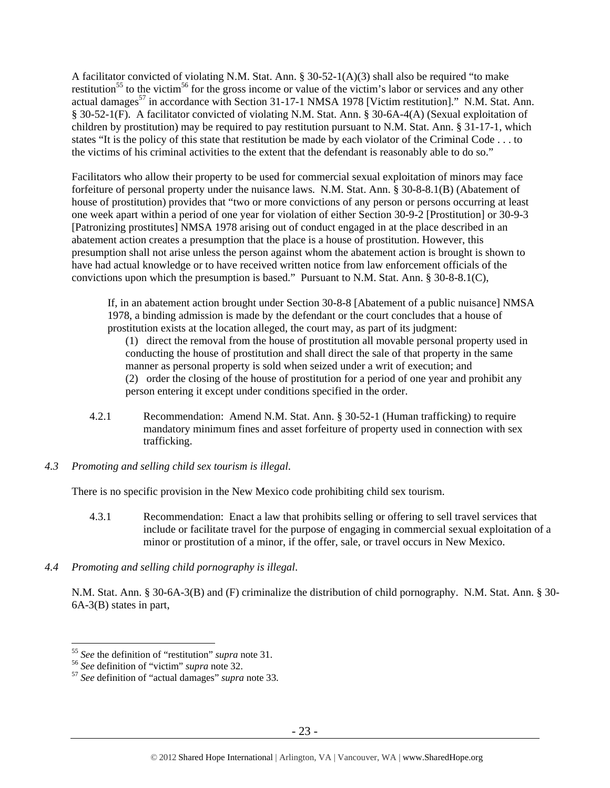A facilitator convicted of violating N.M. Stat. Ann. § 30-52-1(A)(3) shall also be required "to make restitution<sup>55</sup> to the victim<sup>56</sup> for the gross income or value of the victim's labor or services and any other actual damages<sup>57</sup> in accordance with Section 31-17-1 NMSA 1978 [Victim restitution]." N.M. Stat. Ann. § 30-52-1(F). A facilitator convicted of violating N.M. Stat. Ann. § 30-6A-4(A) (Sexual exploitation of children by prostitution) may be required to pay restitution pursuant to N.M. Stat. Ann. § 31-17-1, which states "It is the policy of this state that restitution be made by each violator of the Criminal Code . . . to the victims of his criminal activities to the extent that the defendant is reasonably able to do so."

Facilitators who allow their property to be used for commercial sexual exploitation of minors may face forfeiture of personal property under the nuisance laws. N.M. Stat. Ann. § 30-8-8.1(B) (Abatement of house of prostitution) provides that "two or more convictions of any person or persons occurring at least one week apart within a period of one year for violation of either Section 30-9-2 [Prostitution] or 30-9-3 [Patronizing prostitutes] NMSA 1978 arising out of conduct engaged in at the place described in an abatement action creates a presumption that the place is a house of prostitution. However, this presumption shall not arise unless the person against whom the abatement action is brought is shown to have had actual knowledge or to have received written notice from law enforcement officials of the convictions upon which the presumption is based." Pursuant to N.M. Stat. Ann. § 30-8-8.1(C),

If, in an abatement action brought under Section 30-8-8 [Abatement of a public nuisance] NMSA 1978, a binding admission is made by the defendant or the court concludes that a house of prostitution exists at the location alleged, the court may, as part of its judgment:

(1) direct the removal from the house of prostitution all movable personal property used in conducting the house of prostitution and shall direct the sale of that property in the same manner as personal property is sold when seized under a writ of execution; and (2) order the closing of the house of prostitution for a period of one year and prohibit any person entering it except under conditions specified in the order.

- 4.2.1 Recommendation: Amend N.M. Stat. Ann. § 30-52-1 (Human trafficking) to require mandatory minimum fines and asset forfeiture of property used in connection with sex trafficking.
- *4.3 Promoting and selling child sex tourism is illegal*.

There is no specific provision in the New Mexico code prohibiting child sex tourism.

- 4.3.1 Recommendation: Enact a law that prohibits selling or offering to sell travel services that include or facilitate travel for the purpose of engaging in commercial sexual exploitation of a minor or prostitution of a minor, if the offer, sale, or travel occurs in New Mexico.
- *4.4 Promoting and selling child pornography is illegal*.

N.M. Stat. Ann. § 30-6A-3(B) and (F) criminalize the distribution of child pornography. N.M. Stat. Ann. § 30- 6A-3(B) states in part,

<sup>55</sup> *See* the definition of "restitution" *supra* note 31. 56 *See* definition of "victim" *supra* note 32. 57 *See* definition of "actual damages" *supra* note 33.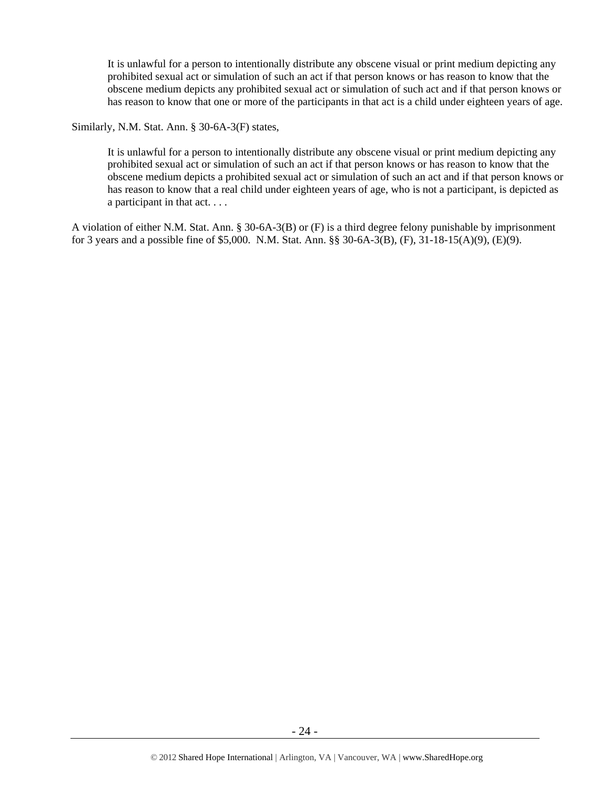It is unlawful for a person to intentionally distribute any obscene visual or print medium depicting any prohibited sexual act or simulation of such an act if that person knows or has reason to know that the obscene medium depicts any prohibited sexual act or simulation of such act and if that person knows or has reason to know that one or more of the participants in that act is a child under eighteen years of age.

## Similarly, N.M. Stat. Ann. § 30-6A-3(F) states,

It is unlawful for a person to intentionally distribute any obscene visual or print medium depicting any prohibited sexual act or simulation of such an act if that person knows or has reason to know that the obscene medium depicts a prohibited sexual act or simulation of such an act and if that person knows or has reason to know that a real child under eighteen years of age, who is not a participant, is depicted as a participant in that act. . . .

A violation of either N.M. Stat. Ann. § 30-6A-3(B) or (F) is a third degree felony punishable by imprisonment for 3 years and a possible fine of \$5,000. N.M. Stat. Ann. §§ 30-6A-3(B), (F), 31-18-15(A)(9), (E)(9).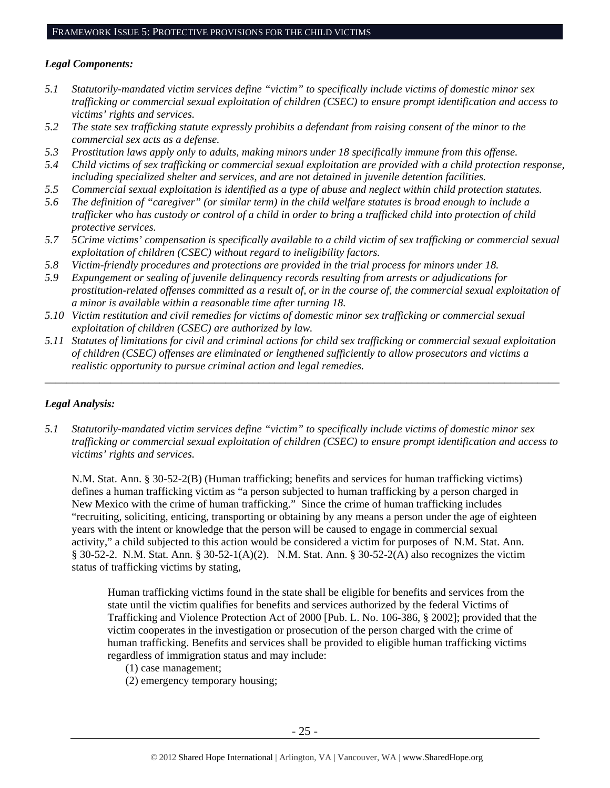# *Legal Components:*

- *5.1 Statutorily-mandated victim services define "victim" to specifically include victims of domestic minor sex trafficking or commercial sexual exploitation of children (CSEC) to ensure prompt identification and access to victims' rights and services.*
- *5.2 The state sex trafficking statute expressly prohibits a defendant from raising consent of the minor to the commercial sex acts as a defense.*
- *5.3 Prostitution laws apply only to adults, making minors under 18 specifically immune from this offense.*
- *5.4 Child victims of sex trafficking or commercial sexual exploitation are provided with a child protection response, including specialized shelter and services, and are not detained in juvenile detention facilities.*
- *5.5 Commercial sexual exploitation is identified as a type of abuse and neglect within child protection statutes.*
- *5.6 The definition of "caregiver" (or similar term) in the child welfare statutes is broad enough to include a trafficker who has custody or control of a child in order to bring a trafficked child into protection of child protective services.*
- *5.7 5Crime victims' compensation is specifically available to a child victim of sex trafficking or commercial sexual exploitation of children (CSEC) without regard to ineligibility factors.*
- *5.8 Victim-friendly procedures and protections are provided in the trial process for minors under 18.*
- *5.9 Expungement or sealing of juvenile delinquency records resulting from arrests or adjudications for prostitution-related offenses committed as a result of, or in the course of, the commercial sexual exploitation of a minor is available within a reasonable time after turning 18.*
- *5.10 Victim restitution and civil remedies for victims of domestic minor sex trafficking or commercial sexual exploitation of children (CSEC) are authorized by law.*
- *5.11 Statutes of limitations for civil and criminal actions for child sex trafficking or commercial sexual exploitation of children (CSEC) offenses are eliminated or lengthened sufficiently to allow prosecutors and victims a realistic opportunity to pursue criminal action and legal remedies.*

*\_\_\_\_\_\_\_\_\_\_\_\_\_\_\_\_\_\_\_\_\_\_\_\_\_\_\_\_\_\_\_\_\_\_\_\_\_\_\_\_\_\_\_\_\_\_\_\_\_\_\_\_\_\_\_\_\_\_\_\_\_\_\_\_\_\_\_\_\_\_\_\_\_\_\_\_\_\_\_\_\_\_\_\_\_\_\_\_\_\_\_\_\_\_* 

# *Legal Analysis:*

*5.1 Statutorily-mandated victim services define "victim" to specifically include victims of domestic minor sex trafficking or commercial sexual exploitation of children (CSEC) to ensure prompt identification and access to victims' rights and services.* 

N.M. Stat. Ann. § 30-52-2(B) (Human trafficking; benefits and services for human trafficking victims) defines a human trafficking victim as "a person subjected to human trafficking by a person charged in New Mexico with the crime of human trafficking." Since the crime of human trafficking includes "recruiting, soliciting, enticing, transporting or obtaining by any means a person under the age of eighteen years with the intent or knowledge that the person will be caused to engage in commercial sexual activity," a child subjected to this action would be considered a victim for purposes of N.M. Stat. Ann. § 30-52-2. N.M. Stat. Ann. § 30-52-1(A)(2). N.M. Stat. Ann. § 30-52-2(A) also recognizes the victim status of trafficking victims by stating,

Human trafficking victims found in the state shall be eligible for benefits and services from the state until the victim qualifies for benefits and services authorized by the federal Victims of Trafficking and Violence Protection Act of 2000 [Pub. L. No. 106-386, § 2002]; provided that the victim cooperates in the investigation or prosecution of the person charged with the crime of human trafficking. Benefits and services shall be provided to eligible human trafficking victims regardless of immigration status and may include:

- (1) case management;
- (2) emergency temporary housing;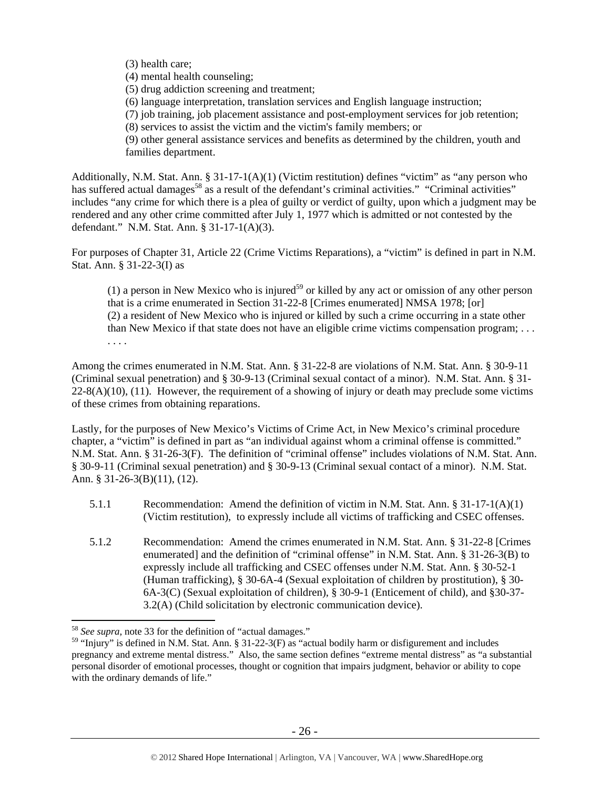(3) health care;

(4) mental health counseling;

(5) drug addiction screening and treatment;

(6) language interpretation, translation services and English language instruction;

(7) job training, job placement assistance and post-employment services for job retention;

(8) services to assist the victim and the victim's family members; or

(9) other general assistance services and benefits as determined by the children, youth and families department.

Additionally, N.M. Stat. Ann. § 31-17-1(A)(1) (Victim restitution) defines "victim" as "any person who has suffered actual damages<sup>58</sup> as a result of the defendant's criminal activities." "Criminal activities" includes "any crime for which there is a plea of guilty or verdict of guilty, upon which a judgment may be rendered and any other crime committed after July 1, 1977 which is admitted or not contested by the defendant." N.M. Stat. Ann. § 31-17-1(A)(3).

For purposes of Chapter 31, Article 22 (Crime Victims Reparations), a "victim" is defined in part in N.M. Stat. Ann. § 31-22-3(I) as

(1) a person in New Mexico who is injured<sup>59</sup> or killed by any act or omission of any other person that is a crime enumerated in Section 31-22-8 [Crimes enumerated] NMSA 1978; [or] (2) a resident of New Mexico who is injured or killed by such a crime occurring in a state other than New Mexico if that state does not have an eligible crime victims compensation program; . . . . . . .

Among the crimes enumerated in N.M. Stat. Ann. § 31-22-8 are violations of N.M. Stat. Ann. § 30-9-11 (Criminal sexual penetration) and § 30-9-13 (Criminal sexual contact of a minor). N.M. Stat. Ann. § 31-  $22-8(A)(10)$ , (11). However, the requirement of a showing of injury or death may preclude some victims of these crimes from obtaining reparations.

Lastly, for the purposes of New Mexico's Victims of Crime Act, in New Mexico's criminal procedure chapter, a "victim" is defined in part as "an individual against whom a criminal offense is committed." N.M. Stat. Ann. § 31-26-3(F). The definition of "criminal offense" includes violations of N.M. Stat. Ann. § 30-9-11 (Criminal sexual penetration) and § 30-9-13 (Criminal sexual contact of a minor). N.M. Stat. Ann. § 31-26-3(B)(11), (12).

- 5.1.1 Recommendation: Amend the definition of victim in N.M. Stat. Ann. § 31-17-1(A)(1) (Victim restitution), to expressly include all victims of trafficking and CSEC offenses.
- 5.1.2 Recommendation: Amend the crimes enumerated in N.M. Stat. Ann. § 31-22-8 [Crimes enumerated] and the definition of "criminal offense" in N.M. Stat. Ann. § 31-26-3(B) to expressly include all trafficking and CSEC offenses under N.M. Stat. Ann. § 30-52-1 (Human trafficking), § 30-6A-4 (Sexual exploitation of children by prostitution), § 30- 6A-3(C) (Sexual exploitation of children), § 30-9-1 (Enticement of child), and §30-37- 3.2(A) (Child solicitation by electronic communication device).

<sup>58</sup> *See supra*, note 33 for the definition of "actual damages."

<sup>&</sup>lt;sup>59</sup> "Injury" is defined in N.M. Stat. Ann. § 31-22-3(F) as "actual bodily harm or disfigurement and includes pregnancy and extreme mental distress." Also, the same section defines "extreme mental distress" as "a substantial personal disorder of emotional processes, thought or cognition that impairs judgment, behavior or ability to cope with the ordinary demands of life."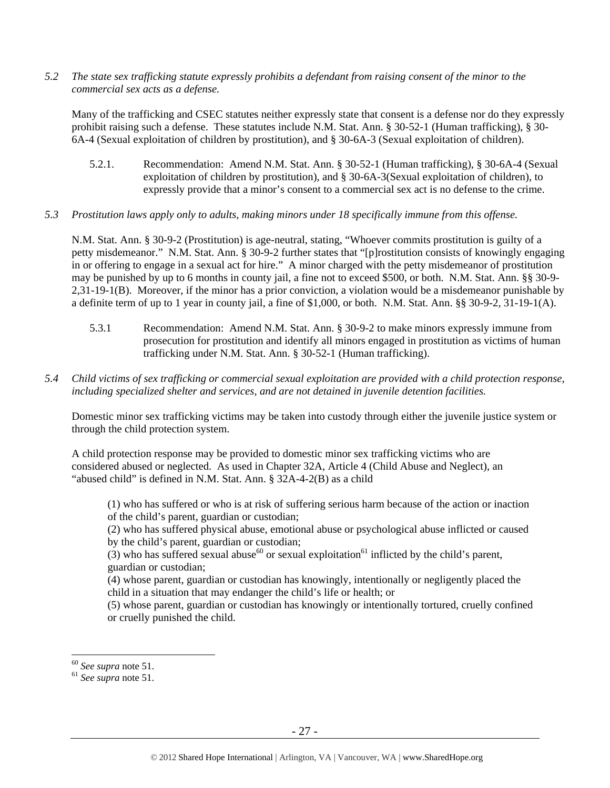*5.2 The state sex trafficking statute expressly prohibits a defendant from raising consent of the minor to the commercial sex acts as a defense.* 

Many of the trafficking and CSEC statutes neither expressly state that consent is a defense nor do they expressly prohibit raising such a defense. These statutes include N.M. Stat. Ann. § 30-52-1 (Human trafficking), § 30- 6A-4 (Sexual exploitation of children by prostitution), and § 30-6A-3 (Sexual exploitation of children).

- 5.2.1. Recommendation: Amend N.M. Stat. Ann. § 30-52-1 (Human trafficking), § 30-6A-4 (Sexual exploitation of children by prostitution), and § 30-6A-3(Sexual exploitation of children), to expressly provide that a minor's consent to a commercial sex act is no defense to the crime.
- *5.3 Prostitution laws apply only to adults, making minors under 18 specifically immune from this offense.*

N.M. Stat. Ann. § 30-9-2 (Prostitution) is age-neutral, stating, "Whoever commits prostitution is guilty of a petty misdemeanor." N.M. Stat. Ann. § 30-9-2 further states that "[p]rostitution consists of knowingly engaging in or offering to engage in a sexual act for hire." A minor charged with the petty misdemeanor of prostitution may be punished by up to 6 months in county jail, a fine not to exceed \$500, or both. N.M. Stat. Ann. §§ 30-9- 2,31-19-1(B). Moreover, if the minor has a prior conviction, a violation would be a misdemeanor punishable by a definite term of up to 1 year in county jail, a fine of \$1,000, or both. N.M. Stat. Ann. §§ 30-9-2, 31-19-1(A).

- 5.3.1 Recommendation: Amend N.M. Stat. Ann. § 30-9-2 to make minors expressly immune from prosecution for prostitution and identify all minors engaged in prostitution as victims of human trafficking under N.M. Stat. Ann. § 30-52-1 (Human trafficking).
- *5.4 Child victims of sex trafficking or commercial sexual exploitation are provided with a child protection response, including specialized shelter and services, and are not detained in juvenile detention facilities.*

Domestic minor sex trafficking victims may be taken into custody through either the juvenile justice system or through the child protection system.

A child protection response may be provided to domestic minor sex trafficking victims who are considered abused or neglected. As used in Chapter 32A, Article 4 (Child Abuse and Neglect), an "abused child" is defined in N.M. Stat. Ann. § 32A-4-2(B) as a child

(1) who has suffered or who is at risk of suffering serious harm because of the action or inaction of the child's parent, guardian or custodian;

(2) who has suffered physical abuse, emotional abuse or psychological abuse inflicted or caused by the child's parent, guardian or custodian;

(3) who has suffered sexual abuse<sup>60</sup> or sexual exploitation<sup>61</sup> inflicted by the child's parent, guardian or custodian;

(4) whose parent, guardian or custodian has knowingly, intentionally or negligently placed the child in a situation that may endanger the child's life or health; or

(5) whose parent, guardian or custodian has knowingly or intentionally tortured, cruelly confined or cruelly punished the child.

<sup>60</sup> *See supra* note 51. 61 *See supra* note 51.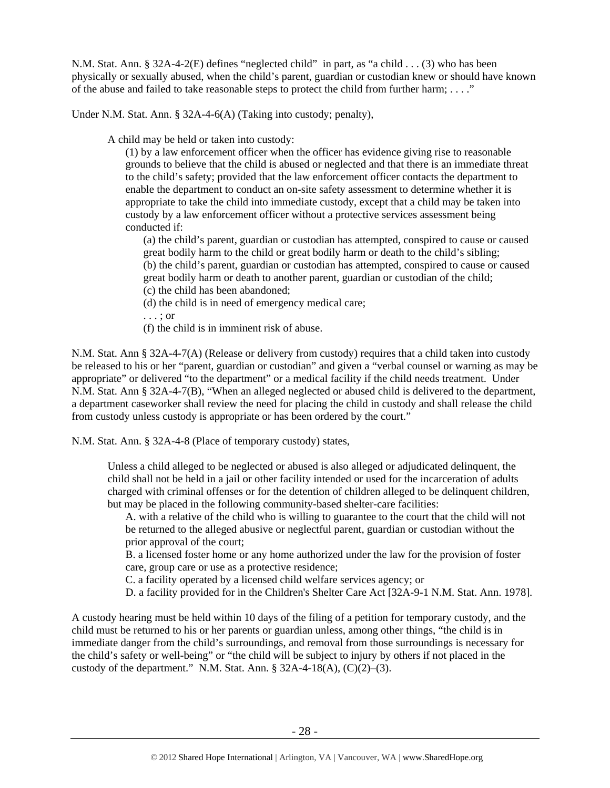N.M. Stat. Ann. § 32A-4-2(E) defines "neglected child" in part, as "a child . . . (3) who has been physically or sexually abused, when the child's parent, guardian or custodian knew or should have known of the abuse and failed to take reasonable steps to protect the child from further harm;  $\dots$ ."

Under N.M. Stat. Ann. § 32A-4-6(A) (Taking into custody; penalty),

A child may be held or taken into custody:

(1) by a law enforcement officer when the officer has evidence giving rise to reasonable grounds to believe that the child is abused or neglected and that there is an immediate threat to the child's safety; provided that the law enforcement officer contacts the department to enable the department to conduct an on-site safety assessment to determine whether it is appropriate to take the child into immediate custody, except that a child may be taken into custody by a law enforcement officer without a protective services assessment being conducted if:

(a) the child's parent, guardian or custodian has attempted, conspired to cause or caused great bodily harm to the child or great bodily harm or death to the child's sibling; (b) the child's parent, guardian or custodian has attempted, conspired to cause or caused great bodily harm or death to another parent, guardian or custodian of the child; (c) the child has been abandoned;

(d) the child is in need of emergency medical care;

. . . ; or

(f) the child is in imminent risk of abuse.

N.M. Stat. Ann § 32A-4-7(A) (Release or delivery from custody) requires that a child taken into custody be released to his or her "parent, guardian or custodian" and given a "verbal counsel or warning as may be appropriate" or delivered "to the department" or a medical facility if the child needs treatment. Under N.M. Stat. Ann § 32A-4-7(B), "When an alleged neglected or abused child is delivered to the department, a department caseworker shall review the need for placing the child in custody and shall release the child from custody unless custody is appropriate or has been ordered by the court."

N.M. Stat. Ann. § 32A-4-8 (Place of temporary custody) states,

Unless a child alleged to be neglected or abused is also alleged or adjudicated delinquent, the child shall not be held in a jail or other facility intended or used for the incarceration of adults charged with criminal offenses or for the detention of children alleged to be delinquent children, but may be placed in the following community-based shelter-care facilities:

A. with a relative of the child who is willing to guarantee to the court that the child will not be returned to the alleged abusive or neglectful parent, guardian or custodian without the prior approval of the court;

B. a licensed foster home or any home authorized under the law for the provision of foster care, group care or use as a protective residence;

C. a facility operated by a licensed child welfare services agency; or

D. a facility provided for in the Children's Shelter Care Act [32A-9-1 N.M. Stat. Ann. 1978].

A custody hearing must be held within 10 days of the filing of a petition for temporary custody, and the child must be returned to his or her parents or guardian unless, among other things, "the child is in immediate danger from the child's surroundings, and removal from those surroundings is necessary for the child's safety or well-being" or "the child will be subject to injury by others if not placed in the custody of the department." N.M. Stat. Ann.  $\S$  32A-4-18(A), (C)(2)–(3).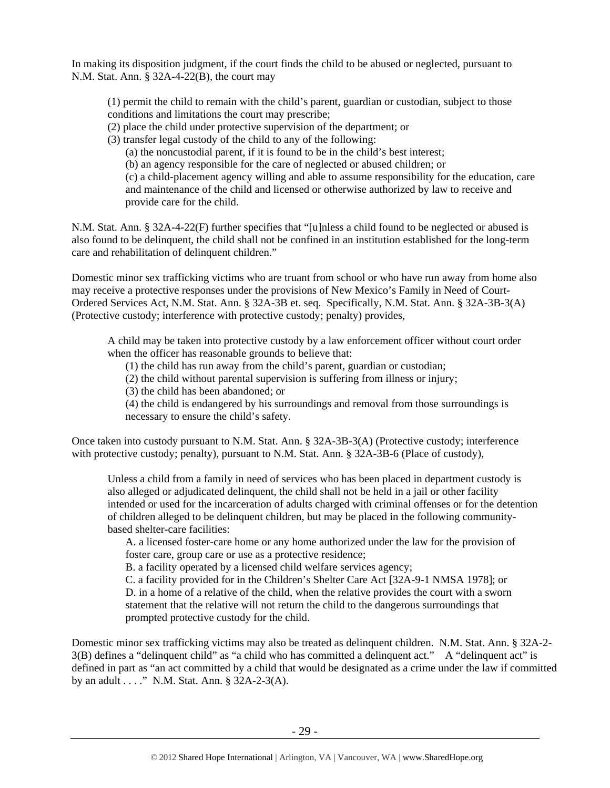In making its disposition judgment, if the court finds the child to be abused or neglected, pursuant to N.M. Stat. Ann. § 32A-4-22(B), the court may

(1) permit the child to remain with the child's parent, guardian or custodian, subject to those conditions and limitations the court may prescribe;

(2) place the child under protective supervision of the department; or

(3) transfer legal custody of the child to any of the following:

(a) the noncustodial parent, if it is found to be in the child's best interest;

(b) an agency responsible for the care of neglected or abused children; or

(c) a child-placement agency willing and able to assume responsibility for the education, care and maintenance of the child and licensed or otherwise authorized by law to receive and provide care for the child.

N.M. Stat. Ann. § 32A-4-22(F) further specifies that "[u]nless a child found to be neglected or abused is also found to be delinquent, the child shall not be confined in an institution established for the long-term care and rehabilitation of delinquent children."

Domestic minor sex trafficking victims who are truant from school or who have run away from home also may receive a protective responses under the provisions of New Mexico's Family in Need of Court-Ordered Services Act, N.M. Stat. Ann. § 32A-3B et. seq. Specifically, N.M. Stat. Ann. § 32A-3B-3(A) (Protective custody; interference with protective custody; penalty) provides,

A child may be taken into protective custody by a law enforcement officer without court order when the officer has reasonable grounds to believe that:

(1) the child has run away from the child's parent, guardian or custodian;

(2) the child without parental supervision is suffering from illness or injury;

(3) the child has been abandoned; or

(4) the child is endangered by his surroundings and removal from those surroundings is necessary to ensure the child's safety.

Once taken into custody pursuant to N.M. Stat. Ann. § 32A-3B-3(A) (Protective custody; interference with protective custody; penalty), pursuant to N.M. Stat. Ann. § 32A-3B-6 (Place of custody),

Unless a child from a family in need of services who has been placed in department custody is also alleged or adjudicated delinquent, the child shall not be held in a jail or other facility intended or used for the incarceration of adults charged with criminal offenses or for the detention of children alleged to be delinquent children, but may be placed in the following communitybased shelter-care facilities:

A. a licensed foster-care home or any home authorized under the law for the provision of foster care, group care or use as a protective residence;

B. a facility operated by a licensed child welfare services agency;

C. a facility provided for in the Children's Shelter Care Act [32A-9-1 NMSA 1978]; or D. in a home of a relative of the child, when the relative provides the court with a sworn statement that the relative will not return the child to the dangerous surroundings that prompted protective custody for the child.

Domestic minor sex trafficking victims may also be treated as delinquent children. N.M. Stat. Ann. § 32A-2- 3(B) defines a "delinquent child" as "a child who has committed a delinquent act." A "delinquent act" is defined in part as "an act committed by a child that would be designated as a crime under the law if committed by an adult . . . ." N.M. Stat. Ann. § 32A-2-3(A).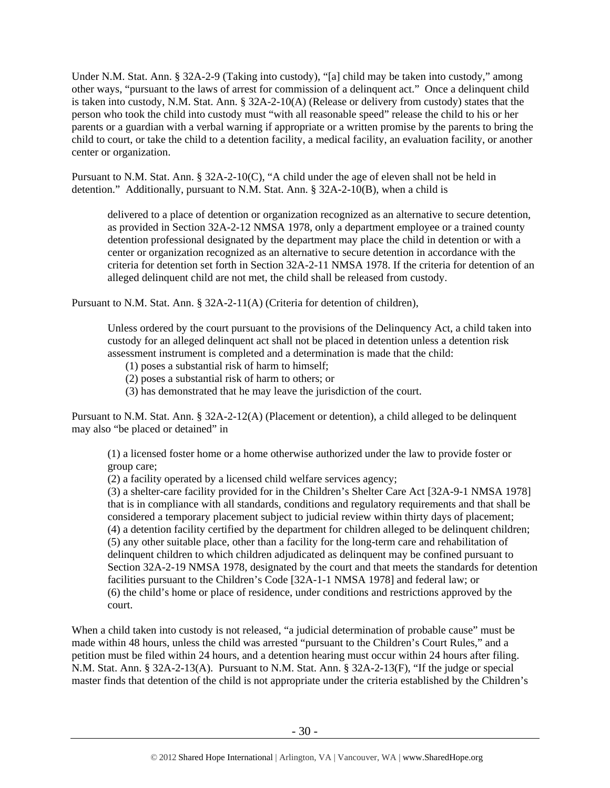Under N.M. Stat. Ann. § 32A-2-9 (Taking into custody), "[a] child may be taken into custody," among other ways, "pursuant to the laws of arrest for commission of a delinquent act." Once a delinquent child is taken into custody, N.M. Stat. Ann. § 32A-2-10(A) (Release or delivery from custody) states that the person who took the child into custody must "with all reasonable speed" release the child to his or her parents or a guardian with a verbal warning if appropriate or a written promise by the parents to bring the child to court, or take the child to a detention facility, a medical facility, an evaluation facility, or another center or organization.

Pursuant to N.M. Stat. Ann. § 32A-2-10(C), "A child under the age of eleven shall not be held in detention." Additionally, pursuant to N.M. Stat. Ann. § 32A-2-10(B), when a child is

delivered to a place of detention or organization recognized as an alternative to secure detention, as provided in Section 32A-2-12 NMSA 1978, only a department employee or a trained county detention professional designated by the department may place the child in detention or with a center or organization recognized as an alternative to secure detention in accordance with the criteria for detention set forth in Section 32A-2-11 NMSA 1978. If the criteria for detention of an alleged delinquent child are not met, the child shall be released from custody.

Pursuant to N.M. Stat. Ann. § 32A-2-11(A) (Criteria for detention of children),

Unless ordered by the court pursuant to the provisions of the Delinquency Act, a child taken into custody for an alleged delinquent act shall not be placed in detention unless a detention risk assessment instrument is completed and a determination is made that the child:

(1) poses a substantial risk of harm to himself;

(2) poses a substantial risk of harm to others; or

(3) has demonstrated that he may leave the jurisdiction of the court.

Pursuant to N.M. Stat. Ann. § 32A-2-12(A) (Placement or detention), a child alleged to be delinquent may also "be placed or detained" in

(1) a licensed foster home or a home otherwise authorized under the law to provide foster or group care;

(2) a facility operated by a licensed child welfare services agency;

(3) a shelter-care facility provided for in the Children's Shelter Care Act [32A-9-1 NMSA 1978] that is in compliance with all standards, conditions and regulatory requirements and that shall be considered a temporary placement subject to judicial review within thirty days of placement; (4) a detention facility certified by the department for children alleged to be delinquent children; (5) any other suitable place, other than a facility for the long-term care and rehabilitation of delinquent children to which children adjudicated as delinquent may be confined pursuant to Section 32A-2-19 NMSA 1978, designated by the court and that meets the standards for detention facilities pursuant to the Children's Code [32A-1-1 NMSA 1978] and federal law; or (6) the child's home or place of residence, under conditions and restrictions approved by the court.

When a child taken into custody is not released, "a judicial determination of probable cause" must be made within 48 hours, unless the child was arrested "pursuant to the Children's Court Rules," and a petition must be filed within 24 hours, and a detention hearing must occur within 24 hours after filing. N.M. Stat. Ann. § 32A-2-13(A). Pursuant to N.M. Stat. Ann. § 32A-2-13(F), "If the judge or special master finds that detention of the child is not appropriate under the criteria established by the Children's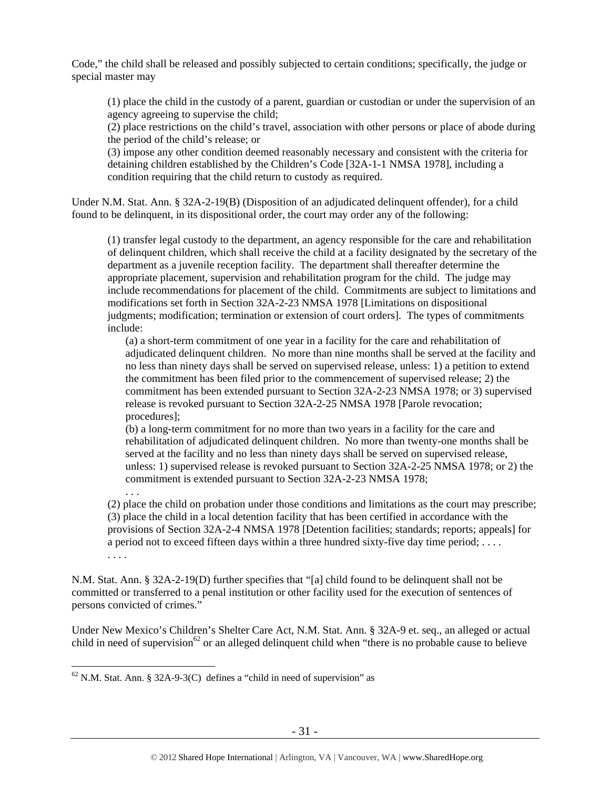Code," the child shall be released and possibly subjected to certain conditions; specifically, the judge or special master may

(1) place the child in the custody of a parent, guardian or custodian or under the supervision of an agency agreeing to supervise the child;

(2) place restrictions on the child's travel, association with other persons or place of abode during the period of the child's release; or

(3) impose any other condition deemed reasonably necessary and consistent with the criteria for detaining children established by the Children's Code [32A-1-1 NMSA 1978], including a condition requiring that the child return to custody as required.

Under N.M. Stat. Ann. § 32A-2-19(B) (Disposition of an adjudicated delinquent offender), for a child found to be delinquent, in its dispositional order, the court may order any of the following:

(1) transfer legal custody to the department, an agency responsible for the care and rehabilitation of delinquent children, which shall receive the child at a facility designated by the secretary of the department as a juvenile reception facility. The department shall thereafter determine the appropriate placement, supervision and rehabilitation program for the child. The judge may include recommendations for placement of the child. Commitments are subject to limitations and modifications set forth in Section 32A-2-23 NMSA 1978 [Limitations on dispositional judgments; modification; termination or extension of court orders]. The types of commitments include:

(a) a short-term commitment of one year in a facility for the care and rehabilitation of adjudicated delinquent children. No more than nine months shall be served at the facility and no less than ninety days shall be served on supervised release, unless: 1) a petition to extend the commitment has been filed prior to the commencement of supervised release; 2) the commitment has been extended pursuant to Section 32A-2-23 NMSA 1978; or 3) supervised release is revoked pursuant to Section 32A-2-25 NMSA 1978 [Parole revocation; procedures];

(b) a long-term commitment for no more than two years in a facility for the care and rehabilitation of adjudicated delinquent children. No more than twenty-one months shall be served at the facility and no less than ninety days shall be served on supervised release, unless: 1) supervised release is revoked pursuant to Section 32A-2-25 NMSA 1978; or 2) the commitment is extended pursuant to Section 32A-2-23 NMSA 1978; . . .

(2) place the child on probation under those conditions and limitations as the court may prescribe; (3) place the child in a local detention facility that has been certified in accordance with the provisions of Section 32A-2-4 NMSA 1978 [Detention facilities; standards; reports; appeals] for a period not to exceed fifteen days within a three hundred sixty-five day time period; . . . . . . . .

N.M. Stat. Ann. § 32A-2-19(D) further specifies that "[a] child found to be delinquent shall not be committed or transferred to a penal institution or other facility used for the execution of sentences of persons convicted of crimes."

Under New Mexico's Children's Shelter Care Act, N.M. Stat. Ann. § 32A-9 et. seq., an alleged or actual child in need of supervision<sup>62</sup> or an alleged delinquent child when "there is no probable cause to believe

 $\overline{a}$  $62$  N.M. Stat. Ann. § 32A-9-3(C) defines a "child in need of supervision" as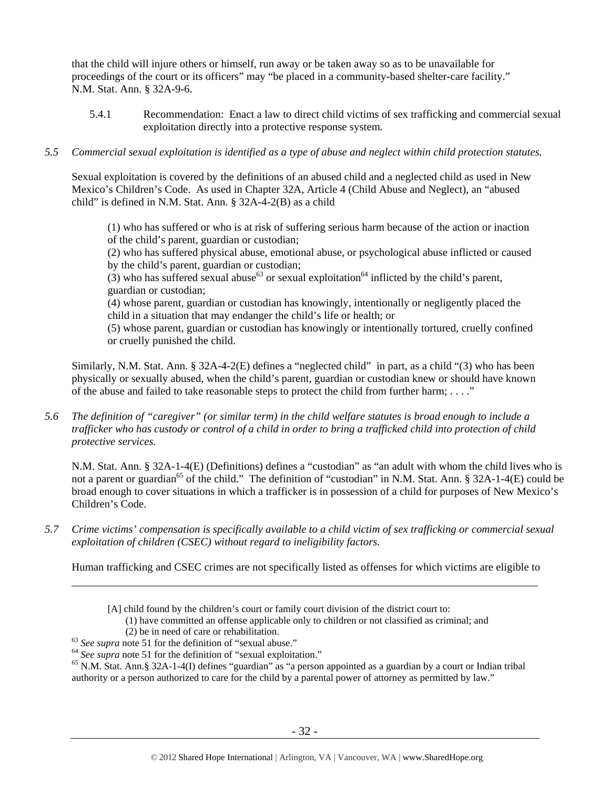that the child will injure others or himself, run away or be taken away so as to be unavailable for proceedings of the court or its officers" may "be placed in a community-based shelter-care facility." N.M. Stat. Ann. § 32A-9-6.

- 5.4.1 Recommendation: Enact a law to direct child victims of sex trafficking and commercial sexual exploitation directly into a protective response system.
- *5.5 Commercial sexual exploitation is identified as a type of abuse and neglect within child protection statutes.*

Sexual exploitation is covered by the definitions of an abused child and a neglected child as used in New Mexico's Children's Code. As used in Chapter 32A, Article 4 (Child Abuse and Neglect), an "abused child" is defined in N.M. Stat. Ann. § 32A-4-2(B) as a child

(1) who has suffered or who is at risk of suffering serious harm because of the action or inaction of the child's parent, guardian or custodian;

(2) who has suffered physical abuse, emotional abuse, or psychological abuse inflicted or caused by the child's parent, guardian or custodian;

(3) who has suffered sexual abuse<sup>63</sup> or sexual exploitation<sup>64</sup> inflicted by the child's parent, guardian or custodian;

(4) whose parent, guardian or custodian has knowingly, intentionally or negligently placed the child in a situation that may endanger the child's life or health; or

(5) whose parent, guardian or custodian has knowingly or intentionally tortured, cruelly confined or cruelly punished the child.

Similarly, N.M. Stat. Ann. § 32A-4-2(E) defines a "neglected child" in part, as a child "(3) who has been physically or sexually abused, when the child's parent, guardian or custodian knew or should have known of the abuse and failed to take reasonable steps to protect the child from further harm;  $\dots$ ."

*5.6 The definition of "caregiver" (or similar term) in the child welfare statutes is broad enough to include a trafficker who has custody or control of a child in order to bring a trafficked child into protection of child protective services.* 

N.M. Stat. Ann. § 32A-1-4(E) (Definitions) defines a "custodian" as "an adult with whom the child lives who is not a parent or guardian<sup>65</sup> of the child." The definition of "custodian" in N.M. Stat. Ann. § 32A-1-4(E) could be broad enough to cover situations in which a trafficker is in possession of a child for purposes of New Mexico's Children's Code.

*5.7 Crime victims' compensation is specifically available to a child victim of sex trafficking or commercial sexual exploitation of children (CSEC) without regard to ineligibility factors.* 

Human trafficking and CSEC crimes are not specifically listed as offenses for which victims are eligible to

<sup>[</sup>A] child found by the children's court or family court division of the district court to:

<sup>(1)</sup> have committed an offense applicable only to children or not classified as criminal; and

<sup>(2)</sup> be in need of care or rehabilitation.<br><sup>63</sup> See supra note 51 for the definition of "sexual abuse."<br><sup>64</sup> See supra note 51 for the definition of "sexual exploitation."<br><sup>65</sup> N.M. Stat. Ann.§ 32A-1-4(I) defines "guardian authority or a person authorized to care for the child by a parental power of attorney as permitted by law."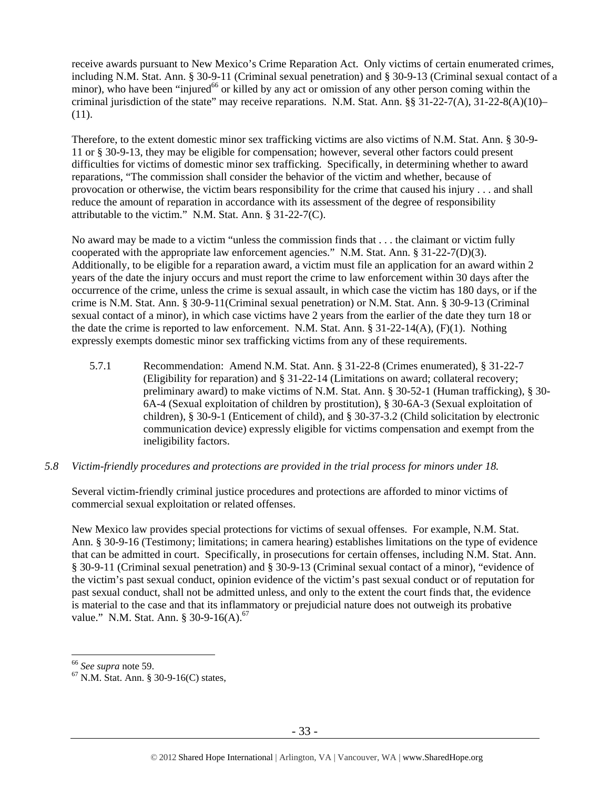receive awards pursuant to New Mexico's Crime Reparation Act. Only victims of certain enumerated crimes, including N.M. Stat. Ann. § 30-9-11 (Criminal sexual penetration) and § 30-9-13 (Criminal sexual contact of a minor), who have been "injured<sup>66</sup> or killed by any act or omission of any other person coming within the criminal jurisdiction of the state" may receive reparations. N.M. Stat. Ann. §§ 31-22-7(A), 31-22-8(A)(10)– (11).

Therefore, to the extent domestic minor sex trafficking victims are also victims of N.M. Stat. Ann. § 30-9- 11 or § 30-9-13, they may be eligible for compensation; however, several other factors could present difficulties for victims of domestic minor sex trafficking. Specifically, in determining whether to award reparations, "The commission shall consider the behavior of the victim and whether, because of provocation or otherwise, the victim bears responsibility for the crime that caused his injury . . . and shall reduce the amount of reparation in accordance with its assessment of the degree of responsibility attributable to the victim." N.M. Stat. Ann. § 31-22-7(C).

No award may be made to a victim "unless the commission finds that . . . the claimant or victim fully cooperated with the appropriate law enforcement agencies." N.M. Stat. Ann. § 31-22-7(D)(3). Additionally, to be eligible for a reparation award, a victim must file an application for an award within 2 years of the date the injury occurs and must report the crime to law enforcement within 30 days after the occurrence of the crime, unless the crime is sexual assault, in which case the victim has 180 days, or if the crime is N.M. Stat. Ann. § 30-9-11(Criminal sexual penetration) or N.M. Stat. Ann. § 30-9-13 (Criminal sexual contact of a minor), in which case victims have 2 years from the earlier of the date they turn 18 or the date the crime is reported to law enforcement. N.M. Stat. Ann. § 31-22-14(A), (F)(1). Nothing expressly exempts domestic minor sex trafficking victims from any of these requirements.

- 5.7.1 Recommendation: Amend N.M. Stat. Ann. § 31-22-8 (Crimes enumerated), § 31-22-7 (Eligibility for reparation) and § 31-22-14 (Limitations on award; collateral recovery; preliminary award) to make victims of N.M. Stat. Ann. § 30-52-1 (Human trafficking), § 30- 6A-4 (Sexual exploitation of children by prostitution), § 30-6A-3 (Sexual exploitation of children), § 30-9-1 (Enticement of child), and § 30-37-3.2 (Child solicitation by electronic communication device) expressly eligible for victims compensation and exempt from the ineligibility factors.
- *5.8 Victim-friendly procedures and protections are provided in the trial process for minors under 18.*

Several victim-friendly criminal justice procedures and protections are afforded to minor victims of commercial sexual exploitation or related offenses.

New Mexico law provides special protections for victims of sexual offenses. For example, N.M. Stat. Ann. § 30-9-16 (Testimony; limitations; in camera hearing) establishes limitations on the type of evidence that can be admitted in court. Specifically, in prosecutions for certain offenses, including N.M. Stat. Ann. § 30-9-11 (Criminal sexual penetration) and § 30-9-13 (Criminal sexual contact of a minor), "evidence of the victim's past sexual conduct, opinion evidence of the victim's past sexual conduct or of reputation for past sexual conduct, shall not be admitted unless, and only to the extent the court finds that, the evidence is material to the case and that its inflammatory or prejudicial nature does not outweigh its probative value." N.M. Stat. Ann. § 30-9-16(A).<sup>67</sup>

<sup>&</sup>lt;sup>66</sup> *See supra* note 59.<br><sup>67</sup> N.M. Stat. Ann. § 30-9-16(C) states,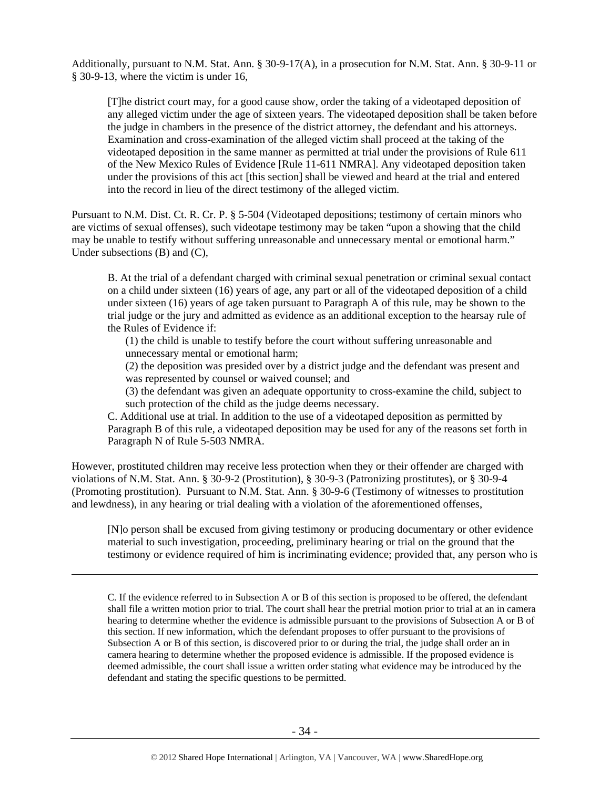Additionally, pursuant to N.M. Stat. Ann. § 30-9-17(A), in a prosecution for N.M. Stat. Ann. § 30-9-11 or § 30-9-13, where the victim is under 16,

[T]he district court may, for a good cause show, order the taking of a videotaped deposition of any alleged victim under the age of sixteen years. The videotaped deposition shall be taken before the judge in chambers in the presence of the district attorney, the defendant and his attorneys. Examination and cross-examination of the alleged victim shall proceed at the taking of the videotaped deposition in the same manner as permitted at trial under the provisions of Rule 611 of the New Mexico Rules of Evidence [Rule 11-611 NMRA]. Any videotaped deposition taken under the provisions of this act [this section] shall be viewed and heard at the trial and entered into the record in lieu of the direct testimony of the alleged victim.

Pursuant to N.M. Dist. Ct. R. Cr. P. § 5-504 (Videotaped depositions; testimony of certain minors who are victims of sexual offenses), such videotape testimony may be taken "upon a showing that the child may be unable to testify without suffering unreasonable and unnecessary mental or emotional harm." Under subsections (B) and (C),

B. At the trial of a defendant charged with criminal sexual penetration or criminal sexual contact on a child under sixteen (16) years of age, any part or all of the videotaped deposition of a child under sixteen (16) years of age taken pursuant to Paragraph A of this rule, may be shown to the trial judge or the jury and admitted as evidence as an additional exception to the hearsay rule of the Rules of Evidence if:

(1) the child is unable to testify before the court without suffering unreasonable and unnecessary mental or emotional harm;

(2) the deposition was presided over by a district judge and the defendant was present and was represented by counsel or waived counsel; and

(3) the defendant was given an adequate opportunity to cross-examine the child, subject to such protection of the child as the judge deems necessary.

C. Additional use at trial. In addition to the use of a videotaped deposition as permitted by Paragraph B of this rule, a videotaped deposition may be used for any of the reasons set forth in Paragraph N of Rule 5-503 NMRA.

However, prostituted children may receive less protection when they or their offender are charged with violations of N.M. Stat. Ann. § 30-9-2 (Prostitution), § 30-9-3 (Patronizing prostitutes), or § 30-9-4 (Promoting prostitution). Pursuant to N.M. Stat. Ann. § 30-9-6 (Testimony of witnesses to prostitution and lewdness), in any hearing or trial dealing with a violation of the aforementioned offenses,

 $\overline{a}$ 

[N]o person shall be excused from giving testimony or producing documentary or other evidence material to such investigation, proceeding, preliminary hearing or trial on the ground that the testimony or evidence required of him is incriminating evidence; provided that, any person who is

C. If the evidence referred to in Subsection A or B of this section is proposed to be offered, the defendant shall file a written motion prior to trial. The court shall hear the pretrial motion prior to trial at an in camera hearing to determine whether the evidence is admissible pursuant to the provisions of Subsection A or B of this section. If new information, which the defendant proposes to offer pursuant to the provisions of Subsection A or B of this section, is discovered prior to or during the trial, the judge shall order an in camera hearing to determine whether the proposed evidence is admissible. If the proposed evidence is deemed admissible, the court shall issue a written order stating what evidence may be introduced by the defendant and stating the specific questions to be permitted.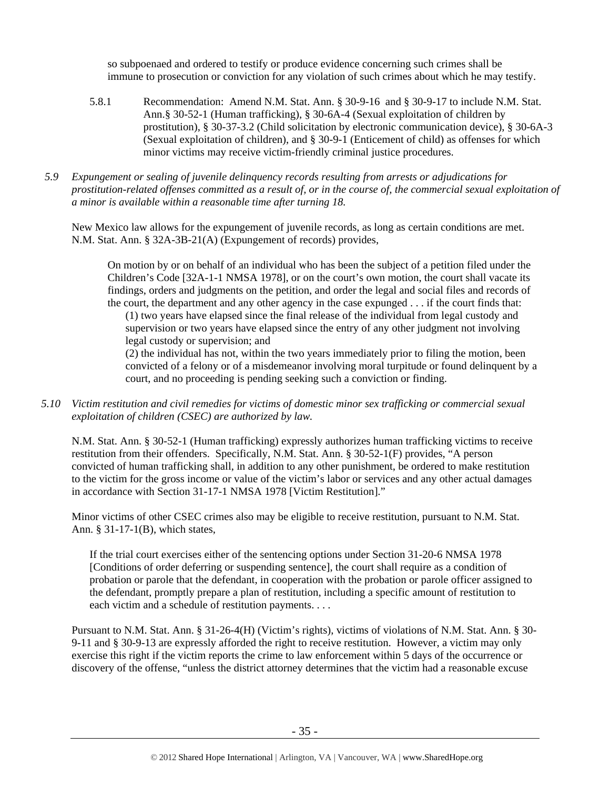so subpoenaed and ordered to testify or produce evidence concerning such crimes shall be immune to prosecution or conviction for any violation of such crimes about which he may testify.

- 5.8.1 Recommendation: Amend N.M. Stat. Ann. § 30-9-16 and § 30-9-17 to include N.M. Stat. Ann.§ 30-52-1 (Human trafficking), § 30-6A-4 (Sexual exploitation of children by prostitution), § 30-37-3.2 (Child solicitation by electronic communication device), § 30-6A-3 (Sexual exploitation of children), and § 30-9-1 (Enticement of child) as offenses for which minor victims may receive victim-friendly criminal justice procedures.
- *5.9 Expungement or sealing of juvenile delinquency records resulting from arrests or adjudications for prostitution-related offenses committed as a result of, or in the course of, the commercial sexual exploitation of a minor is available within a reasonable time after turning 18.*

New Mexico law allows for the expungement of juvenile records, as long as certain conditions are met. N.M. Stat. Ann. § 32A-3B-21(A) (Expungement of records) provides,

On motion by or on behalf of an individual who has been the subject of a petition filed under the Children's Code [32A-1-1 NMSA 1978], or on the court's own motion, the court shall vacate its findings, orders and judgments on the petition, and order the legal and social files and records of the court, the department and any other agency in the case expunged . . . if the court finds that:

(1) two years have elapsed since the final release of the individual from legal custody and supervision or two years have elapsed since the entry of any other judgment not involving legal custody or supervision; and

(2) the individual has not, within the two years immediately prior to filing the motion, been convicted of a felony or of a misdemeanor involving moral turpitude or found delinquent by a court, and no proceeding is pending seeking such a conviction or finding.

*5.10 Victim restitution and civil remedies for victims of domestic minor sex trafficking or commercial sexual exploitation of children (CSEC) are authorized by law.* 

N.M. Stat. Ann. § 30-52-1 (Human trafficking) expressly authorizes human trafficking victims to receive restitution from their offenders. Specifically, N.M. Stat. Ann. § 30-52-1(F) provides, "A person convicted of human trafficking shall, in addition to any other punishment, be ordered to make restitution to the victim for the gross income or value of the victim's labor or services and any other actual damages in accordance with Section 31-17-1 NMSA 1978 [Victim Restitution]."

Minor victims of other CSEC crimes also may be eligible to receive restitution, pursuant to N.M. Stat. Ann. § 31-17-1(B), which states,

If the trial court exercises either of the sentencing options under Section 31-20-6 NMSA 1978 [Conditions of order deferring or suspending sentence], the court shall require as a condition of probation or parole that the defendant, in cooperation with the probation or parole officer assigned to the defendant, promptly prepare a plan of restitution, including a specific amount of restitution to each victim and a schedule of restitution payments. . . .

Pursuant to N.M. Stat. Ann. § 31-26-4(H) (Victim's rights), victims of violations of N.M. Stat. Ann. § 30- 9-11 and § 30-9-13 are expressly afforded the right to receive restitution. However, a victim may only exercise this right if the victim reports the crime to law enforcement within 5 days of the occurrence or discovery of the offense, "unless the district attorney determines that the victim had a reasonable excuse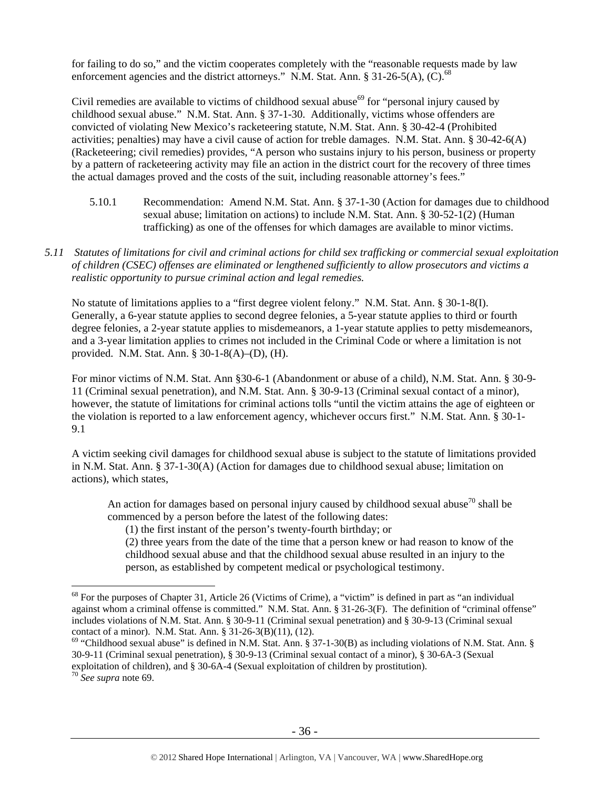for failing to do so," and the victim cooperates completely with the "reasonable requests made by law enforcement agencies and the district attorneys." N.M. Stat. Ann. § 31-26-5(A),  $(C)$ .<sup>68</sup>

Civil remedies are available to victims of childhood sexual abuse<sup>69</sup> for "personal injury caused by childhood sexual abuse." N.M. Stat. Ann. § 37-1-30. Additionally, victims whose offenders are convicted of violating New Mexico's racketeering statute, N.M. Stat. Ann. § 30-42-4 (Prohibited activities; penalties) may have a civil cause of action for treble damages. N.M. Stat. Ann. § 30-42-6(A) (Racketeering; civil remedies) provides, "A person who sustains injury to his person, business or property by a pattern of racketeering activity may file an action in the district court for the recovery of three times the actual damages proved and the costs of the suit, including reasonable attorney's fees."

- 5.10.1 Recommendation: Amend N.M. Stat. Ann. § 37-1-30 (Action for damages due to childhood sexual abuse; limitation on actions) to include N.M. Stat. Ann. § 30-52-1(2) (Human trafficking) as one of the offenses for which damages are available to minor victims.
- *5.11 Statutes of limitations for civil and criminal actions for child sex trafficking or commercial sexual exploitation of children (CSEC) offenses are eliminated or lengthened sufficiently to allow prosecutors and victims a realistic opportunity to pursue criminal action and legal remedies.*

No statute of limitations applies to a "first degree violent felony." N.M. Stat. Ann. § 30-1-8(I). Generally, a 6-year statute applies to second degree felonies, a 5-year statute applies to third or fourth degree felonies, a 2-year statute applies to misdemeanors, a 1-year statute applies to petty misdemeanors, and a 3-year limitation applies to crimes not included in the Criminal Code or where a limitation is not provided. N.M. Stat. Ann. § 30-1-8(A)–(D), (H).

For minor victims of N.M. Stat. Ann §30-6-1 (Abandonment or abuse of a child), N.M. Stat. Ann. § 30-9- 11 (Criminal sexual penetration), and N.M. Stat. Ann. § 30-9-13 (Criminal sexual contact of a minor), however, the statute of limitations for criminal actions tolls "until the victim attains the age of eighteen or the violation is reported to a law enforcement agency, whichever occurs first." N.M. Stat. Ann. § 30-1- 9.1

A victim seeking civil damages for childhood sexual abuse is subject to the statute of limitations provided in N.M. Stat. Ann. § 37-1-30(A) (Action for damages due to childhood sexual abuse; limitation on actions), which states,

An action for damages based on personal injury caused by childhood sexual abuse<sup>70</sup> shall be commenced by a person before the latest of the following dates:

(1) the first instant of the person's twenty-fourth birthday; or

(2) three years from the date of the time that a person knew or had reason to know of the childhood sexual abuse and that the childhood sexual abuse resulted in an injury to the person, as established by competent medical or psychological testimony.

 $68$  For the purposes of Chapter 31, Article 26 (Victims of Crime), a "victim" is defined in part as "an individual against whom a criminal offense is committed." N.M. Stat. Ann. § 31-26-3(F). The definition of "criminal offense" includes violations of N.M. Stat. Ann. § 30-9-11 (Criminal sexual penetration) and § 30-9-13 (Criminal sexual contact of a minor). N.M. Stat. Ann. § 31-26-3(B)(11), (12).

 $69$  "Childhood sexual abuse" is defined in N.M. Stat. Ann. § 37-1-30(B) as including violations of N.M. Stat. Ann. § 30-9-11 (Criminal sexual penetration), § 30-9-13 (Criminal sexual contact of a minor), § 30-6A-3 (Sexual exploitation of children), and § 30-6A-4 (Sexual exploitation of children by prostitution).

<sup>70</sup> *See supra* note 69.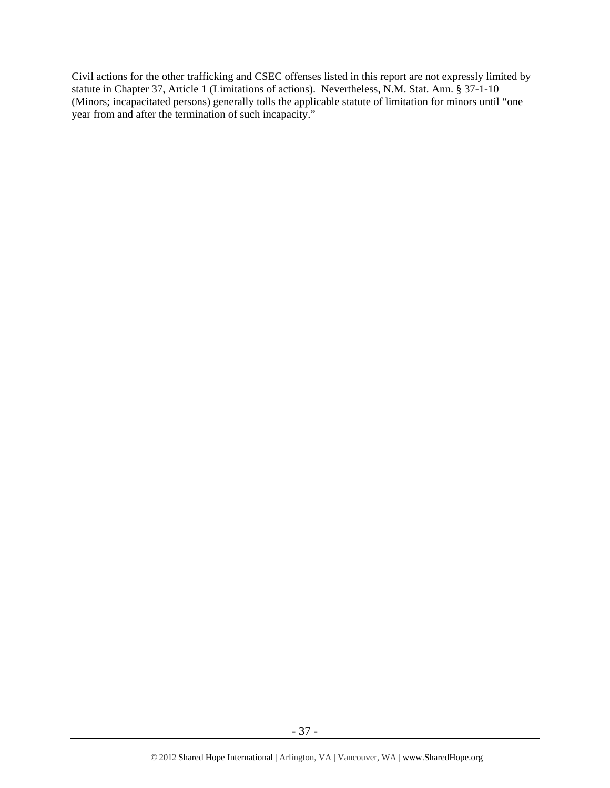Civil actions for the other trafficking and CSEC offenses listed in this report are not expressly limited by statute in Chapter 37, Article 1 (Limitations of actions). Nevertheless, N.M. Stat. Ann. § 37-1-10 (Minors; incapacitated persons) generally tolls the applicable statute of limitation for minors until "one year from and after the termination of such incapacity."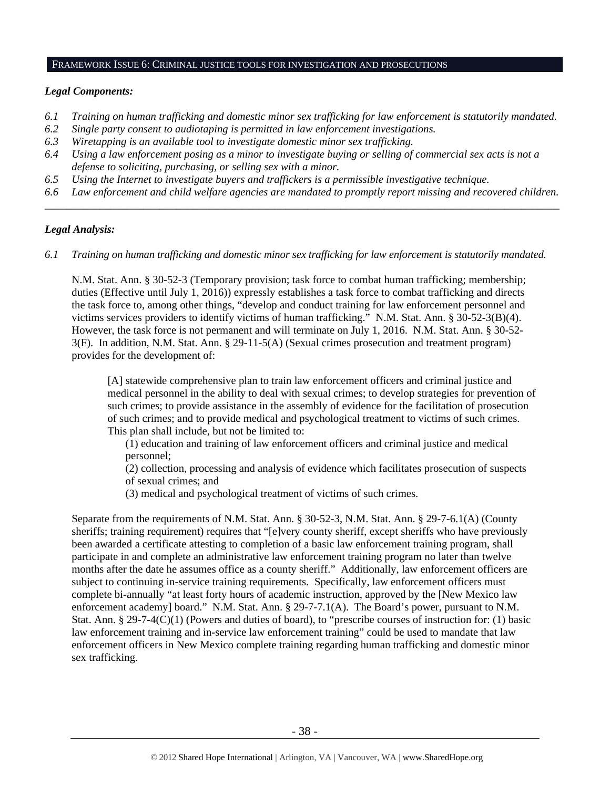# FRAMEWORK ISSUE 6: CRIMINAL JUSTICE TOOLS FOR INVESTIGATION AND PROSECUTIONS

## *Legal Components:*

- *6.1 Training on human trafficking and domestic minor sex trafficking for law enforcement is statutorily mandated.*
- *6.2 Single party consent to audiotaping is permitted in law enforcement investigations.*
- *6.3 Wiretapping is an available tool to investigate domestic minor sex trafficking.*
- *6.4 Using a law enforcement posing as a minor to investigate buying or selling of commercial sex acts is not a defense to soliciting, purchasing, or selling sex with a minor.*
- *6.5 Using the Internet to investigate buyers and traffickers is a permissible investigative technique.*
- *6.6 Law enforcement and child welfare agencies are mandated to promptly report missing and recovered children. \_\_\_\_\_\_\_\_\_\_\_\_\_\_\_\_\_\_\_\_\_\_\_\_\_\_\_\_\_\_\_\_\_\_\_\_\_\_\_\_\_\_\_\_\_\_\_\_\_\_\_\_\_\_\_\_\_\_\_\_\_\_\_\_\_\_\_\_\_\_\_\_\_\_\_\_\_\_\_\_\_\_\_\_\_\_\_\_\_\_\_\_\_\_*

## *Legal Analysis:*

*6.1 Training on human trafficking and domestic minor sex trafficking for law enforcement is statutorily mandated.* 

N.M. Stat. Ann. § 30-52-3 (Temporary provision; task force to combat human trafficking; membership; duties (Effective until July 1, 2016)) expressly establishes a task force to combat trafficking and directs the task force to, among other things, "develop and conduct training for law enforcement personnel and victims services providers to identify victims of human trafficking." N.M. Stat. Ann. § 30-52-3(B)(4). However, the task force is not permanent and will terminate on July 1, 2016. N.M. Stat. Ann. § 30-52- 3(F). In addition, N.M. Stat. Ann. § 29-11-5(A) (Sexual crimes prosecution and treatment program) provides for the development of:

[A] statewide comprehensive plan to train law enforcement officers and criminal justice and medical personnel in the ability to deal with sexual crimes; to develop strategies for prevention of such crimes; to provide assistance in the assembly of evidence for the facilitation of prosecution of such crimes; and to provide medical and psychological treatment to victims of such crimes. This plan shall include, but not be limited to:

(1) education and training of law enforcement officers and criminal justice and medical personnel;

(2) collection, processing and analysis of evidence which facilitates prosecution of suspects of sexual crimes; and

(3) medical and psychological treatment of victims of such crimes.

Separate from the requirements of N.M. Stat. Ann. § 30-52-3, N.M. Stat. Ann. § 29-7-6.1(A) (County sheriffs; training requirement) requires that "[e]very county sheriff, except sheriffs who have previously been awarded a certificate attesting to completion of a basic law enforcement training program, shall participate in and complete an administrative law enforcement training program no later than twelve months after the date he assumes office as a county sheriff." Additionally, law enforcement officers are subject to continuing in-service training requirements. Specifically, law enforcement officers must complete bi-annually "at least forty hours of academic instruction, approved by the [New Mexico law enforcement academy] board." N.M. Stat. Ann. § 29-7-7.1(A). The Board's power, pursuant to N.M. Stat. Ann. § 29-7-4(C)(1) (Powers and duties of board), to "prescribe courses of instruction for: (1) basic law enforcement training and in-service law enforcement training" could be used to mandate that law enforcement officers in New Mexico complete training regarding human trafficking and domestic minor sex trafficking.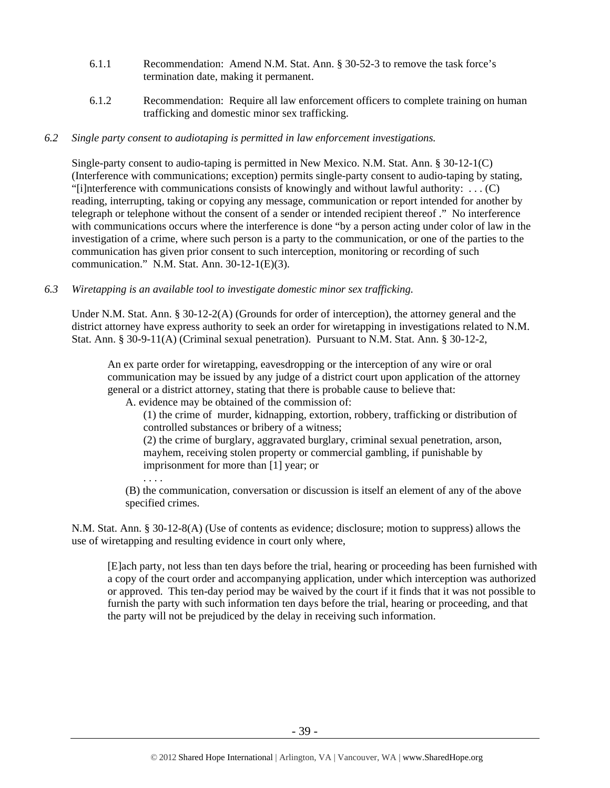- 6.1.1 Recommendation: Amend N.M. Stat. Ann. § 30-52-3 to remove the task force's termination date, making it permanent.
- 6.1.2 Recommendation: Require all law enforcement officers to complete training on human trafficking and domestic minor sex trafficking.

## *6.2 Single party consent to audiotaping is permitted in law enforcement investigations.*

Single-party consent to audio-taping is permitted in New Mexico. N.M. Stat. Ann. § 30-12-1(C) (Interference with communications; exception) permits single-party consent to audio-taping by stating, "[i]nterference with communications consists of knowingly and without lawful authority:  $\dots$  (C) reading, interrupting, taking or copying any message, communication or report intended for another by telegraph or telephone without the consent of a sender or intended recipient thereof ." No interference with communications occurs where the interference is done "by a person acting under color of law in the investigation of a crime, where such person is a party to the communication, or one of the parties to the communication has given prior consent to such interception, monitoring or recording of such communication." N.M. Stat. Ann. 30-12-1(E)(3).

*6.3 Wiretapping is an available tool to investigate domestic minor sex trafficking.* 

Under N.M. Stat. Ann. § 30-12-2(A) (Grounds for order of interception), the attorney general and the district attorney have express authority to seek an order for wiretapping in investigations related to N.M. Stat. Ann. § 30-9-11(A) (Criminal sexual penetration). Pursuant to N.M. Stat. Ann. § 30-12-2,

An ex parte order for wiretapping, eavesdropping or the interception of any wire or oral communication may be issued by any judge of a district court upon application of the attorney general or a district attorney, stating that there is probable cause to believe that:

A. evidence may be obtained of the commission of:

(1) the crime of murder, kidnapping, extortion, robbery, trafficking or distribution of controlled substances or bribery of a witness;

(2) the crime of burglary, aggravated burglary, criminal sexual penetration, arson, mayhem, receiving stolen property or commercial gambling, if punishable by imprisonment for more than [1] year; or

. . . .

(B) the communication, conversation or discussion is itself an element of any of the above specified crimes.

N.M. Stat. Ann. § 30-12-8(A) (Use of contents as evidence; disclosure; motion to suppress) allows the use of wiretapping and resulting evidence in court only where,

[E]ach party, not less than ten days before the trial, hearing or proceeding has been furnished with a copy of the court order and accompanying application, under which interception was authorized or approved. This ten-day period may be waived by the court if it finds that it was not possible to furnish the party with such information ten days before the trial, hearing or proceeding, and that the party will not be prejudiced by the delay in receiving such information.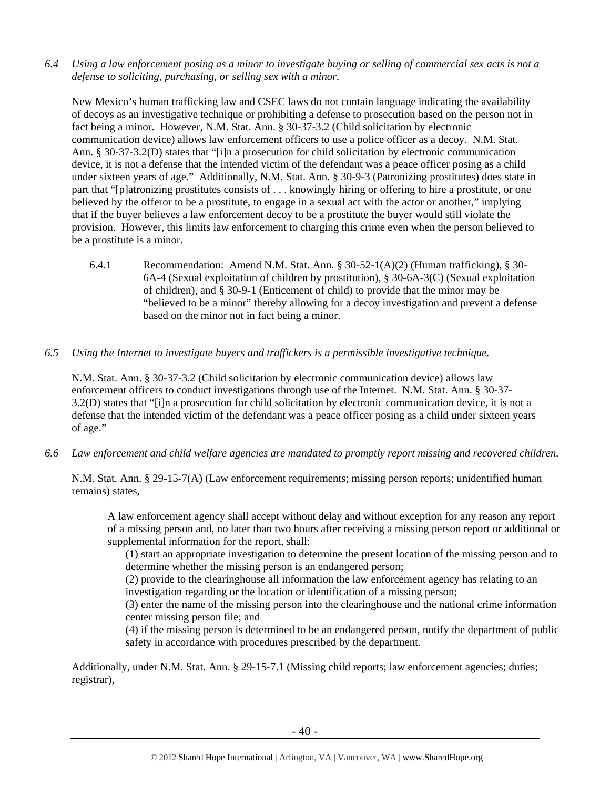*6.4 Using a law enforcement posing as a minor to investigate buying or selling of commercial sex acts is not a defense to soliciting, purchasing, or selling sex with a minor.* 

New Mexico's human trafficking law and CSEC laws do not contain language indicating the availability of decoys as an investigative technique or prohibiting a defense to prosecution based on the person not in fact being a minor. However, N.M. Stat. Ann. § 30-37-3.2 (Child solicitation by electronic communication device) allows law enforcement officers to use a police officer as a decoy. N.M. Stat. Ann. § 30-37-3.2(D) states that "[i]n a prosecution for child solicitation by electronic communication device, it is not a defense that the intended victim of the defendant was a peace officer posing as a child under sixteen years of age." Additionally, N.M. Stat. Ann. § 30-9-3 (Patronizing prostitutes) does state in part that "[p]atronizing prostitutes consists of . . . knowingly hiring or offering to hire a prostitute, or one believed by the offeror to be a prostitute, to engage in a sexual act with the actor or another," implying that if the buyer believes a law enforcement decoy to be a prostitute the buyer would still violate the provision. However, this limits law enforcement to charging this crime even when the person believed to be a prostitute is a minor.

- 6.4.1 Recommendation: Amend N.M. Stat. Ann. § 30-52-1(A)(2) (Human trafficking), § 30- 6A-4 (Sexual exploitation of children by prostitution), § 30-6A-3(C) (Sexual exploitation of children), and § 30-9-1 (Enticement of child) to provide that the minor may be "believed to be a minor" thereby allowing for a decoy investigation and prevent a defense based on the minor not in fact being a minor.
- *6.5 Using the Internet to investigate buyers and traffickers is a permissible investigative technique.*

N.M. Stat. Ann. § 30-37-3.2 (Child solicitation by electronic communication device) allows law enforcement officers to conduct investigations through use of the Internet. N.M. Stat. Ann. § 30-37- 3.2(D) states that "[i]n a prosecution for child solicitation by electronic communication device, it is not a defense that the intended victim of the defendant was a peace officer posing as a child under sixteen years of age."

*6.6 Law enforcement and child welfare agencies are mandated to promptly report missing and recovered children.* 

N.M. Stat. Ann. § 29-15-7(A) (Law enforcement requirements; missing person reports; unidentified human remains) states,

A law enforcement agency shall accept without delay and without exception for any reason any report of a missing person and, no later than two hours after receiving a missing person report or additional or supplemental information for the report, shall:

(1) start an appropriate investigation to determine the present location of the missing person and to determine whether the missing person is an endangered person;

(2) provide to the clearinghouse all information the law enforcement agency has relating to an investigation regarding or the location or identification of a missing person;

(3) enter the name of the missing person into the clearinghouse and the national crime information center missing person file; and

(4) if the missing person is determined to be an endangered person, notify the department of public safety in accordance with procedures prescribed by the department.

Additionally, under N.M. Stat. Ann. § 29-15-7.1 (Missing child reports; law enforcement agencies; duties; registrar),